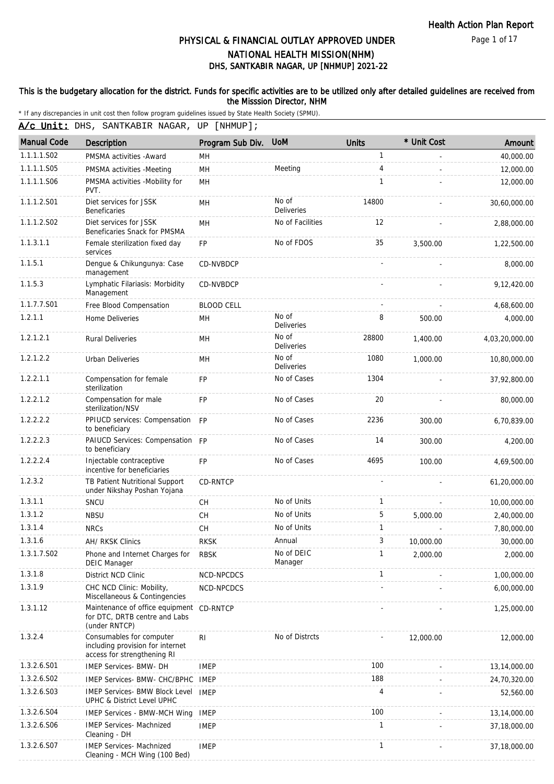Page 1 of 17

# DHS, SANTKABIR NAGAR, UP [NHMUP] 2021-22 PHYSICAL & FINANCIAL OUTLAY APPROVED UNDER NATIONAL HEALTH MISSION(NHM)

### This is the budgetary allocation for the district. Funds for specific activities are to be utilized only after detailed guidelines are received from the Misssion Director, NHM

\* If any discrepancies in unit cost then follow program guidelines issued by State Health Society (SPMU).

A/c Unit: DHS, SANTKABIR NAGAR, UP [NHMUP];

| <b>Manual Code</b> | Description                                                                                 | Program Sub Div.  | <b>UoM</b>                 | Units        | * Unit Cost | Amount         |
|--------------------|---------------------------------------------------------------------------------------------|-------------------|----------------------------|--------------|-------------|----------------|
| 1.1.1.1.S02        | PMSMA activities - Award                                                                    | MН                |                            | 1            |             | 40,000.00      |
| 1.1.1.1.S05        | PMSMA activities -Meeting                                                                   | <b>MH</b>         | Meeting                    | 4            |             | 12,000.00      |
| 1.1.1.1.S06        | PMSMA activities -Mobility for<br>PVT.                                                      | <b>MH</b>         |                            | $\mathbf{1}$ |             | 12,000.00      |
| 1.1.1.2.S01        | Diet services for JSSK<br>Beneficaries                                                      | MН                | No of<br><b>Deliveries</b> | 14800        |             | 30,60,000.00   |
| 1.1.1.2.S02        | Diet services for JSSK<br>Beneficaries Snack for PMSMA                                      | MH                | No of Facilities           | 12           |             | 2,88,000.00    |
| 1.1.3.1.1          | Female sterilization fixed day<br>services                                                  | <b>FP</b>         | No of FDOS                 | 35           | 3.500.00    | 1,22,500.00    |
| 1.1.5.1            | Dengue & Chikungunya: Case<br>management                                                    | CD-NVBDCP         |                            |              |             | 8,000.00       |
| 1.1.5.3            | Lymphatic Filariasis: Morbidity<br>Management                                               | CD-NVBDCP         |                            |              |             | 9,12,420.00    |
| 1.1.7.7.S01        | Free Blood Compensation                                                                     | <b>BLOOD CELL</b> |                            |              |             | 4,68,600.00    |
| 1.2.1.1            | Home Deliveries                                                                             | MН                | No of<br>Deliveries        | 8            | 500.00      | 4,000.00       |
| 1.2.1.2.1          | <b>Rural Deliveries</b>                                                                     | MH                | No of<br><b>Deliveries</b> | 28800        | 1,400.00    | 4,03,20,000.00 |
| 1.2.1.2.2          | Urban Deliveries                                                                            | MН                | No of<br>Deliveries        | 1080         | 1,000.00    | 10,80,000.00   |
| 1.2.2.1.1          | Compensation for female<br>sterilization                                                    | <b>FP</b>         | No of Cases                | 1304         |             | 37,92,800.00   |
| 1.2.2.1.2          | Compensation for male<br>sterilization/NSV                                                  | <b>FP</b>         | No of Cases                | 20           |             | 80,000.00      |
| 1.2.2.2.2          | PPIUCD services: Compensation FP<br>to beneficiary                                          |                   | No of Cases                | 2236         | 300.00      | 6,70,839.00    |
| 1.2.2.2.3          | PAIUCD Services: Compensation FP<br>to beneficiary                                          |                   | No of Cases                | 14           | 300.00      | 4,200.00       |
| 1.2.2.2.4          | Injectable contraceptive<br>incentive for beneficiaries                                     | <b>FP</b>         | No of Cases                | 4695         | 100.00      | 4,69,500.00    |
| 1.2.3.2            | TB Patient Nutritional Support<br>under Nikshay Poshan Yojana                               | <b>CD-RNTCP</b>   |                            |              |             | 61,20,000.00   |
| 1.3.1.1            | SNCU                                                                                        | <b>CH</b>         | No of Units                | $\mathbf{1}$ |             | 10,00,000.00   |
| 1.3.1.2            | <b>NBSU</b>                                                                                 | <b>CH</b>         | No of Units                | 5            | 5,000.00    | 2,40,000.00    |
| 1.3.1.4            | <b>NRCs</b>                                                                                 | CH                | No of Units                | $\mathbf{1}$ |             | 7,80,000.00    |
| 1.3.1.6            | AH/ RKSK Clinics                                                                            | <b>RKSK</b>       | Annual                     | 3            | 10,000.00   | 30,000.00      |
| 1.3.1.7.S02        | Phone and Internet Charges for<br><b>DEIC Manager</b>                                       | <b>RBSK</b>       | No of DEIC<br>Manager      |              | 2,000.00    | 2,000.00       |
| 1.3.1.8            | District NCD Clinic                                                                         | NCD-NPCDCS        |                            | 1            |             | 1,00,000.00    |
| 1.3.1.9            | CHC NCD Clinic: Mobility,<br>Miscellaneous & Contingencies                                  | NCD-NPCDCS        |                            |              |             | 6,00,000.00    |
| 1.3.1.12           | Maintenance of office equipment CD-RNTCP<br>for DTC, DRTB centre and Labs<br>(under RNTCP)  |                   |                            |              |             | 1,25,000.00    |
| 1.3.2.4            | Consumables for computer<br>including provision for internet<br>access for strengthening RI | R <sub>l</sub>    | No of Distrcts             |              | 12,000.00   | 12,000.00      |
| 1.3.2.6.S01        | IMEP Services- BMW- DH                                                                      | <b>IMEP</b>       |                            | 100          |             | 13,14,000.00   |
| 1.3.2.6.S02        | IMEP Services- BMW- CHC/BPHC                                                                | IMEP              |                            | 188          |             | 24,70,320.00   |
| 1.3.2.6.S03        | <b>IMEP Services- BMW Block Level</b><br>UPHC & District Level UPHC                         | <b>IMEP</b>       |                            | 4            |             | 52,560.00      |
| 1.3.2.6.S04        | IMEP Services - BMW-MCH Wing                                                                | <b>IMEP</b>       |                            | 100          |             | 13,14,000.00   |
| 1.3.2.6.S06        | <b>IMEP Services- Machnized</b><br>Cleaning - DH                                            | <b>IMEP</b>       |                            | $\mathbf{1}$ |             | 37,18,000.00   |
| 1.3.2.6.S07        | <b>IMEP Services- Machnized</b><br>Cleaning - MCH Wing (100 Bed)                            | <b>IMEP</b>       |                            | 1            |             | 37,18,000.00   |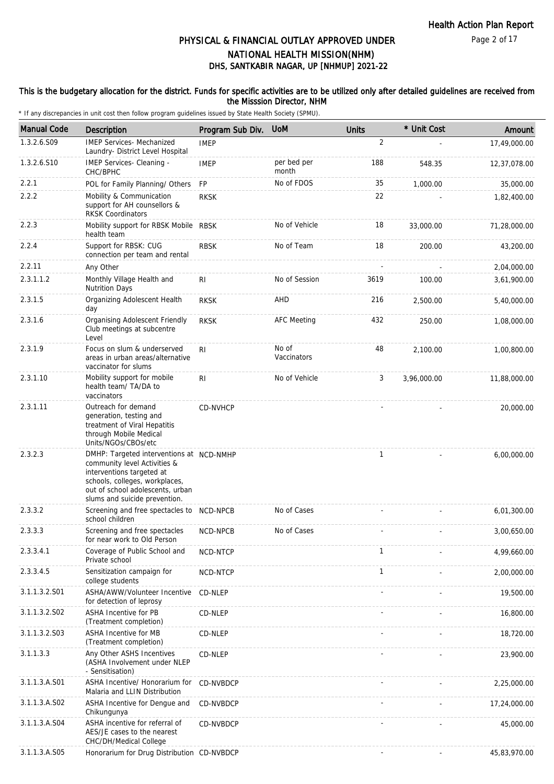### This is the budgetary allocation for the district. Funds for specific activities are to be utilized only after detailed guidelines are received from the Misssion Director, NHM

| <b>Manual Code</b> | Description                                                                                                                                                                                                  | Program Sub Div. | <b>UoM</b>           | <b>Units</b>   | * Unit Cost | Amount       |
|--------------------|--------------------------------------------------------------------------------------------------------------------------------------------------------------------------------------------------------------|------------------|----------------------|----------------|-------------|--------------|
| 1.3.2.6.S09        | <b>IMEP Services- Mechanized</b><br>Laundry- District Level Hospital                                                                                                                                         | <b>IMEP</b>      |                      | $\overline{2}$ |             | 17,49,000.00 |
| 1.3.2.6.S10        | IMEP Services- Cleaning -<br>CHC/BPHC                                                                                                                                                                        | <b>IMEP</b>      | per bed per<br>month | 188            | 548.35      | 12,37,078.00 |
| 2.2.1              | POL for Family Planning/ Others                                                                                                                                                                              | <b>FP</b>        | No of FDOS           | 35             | 1,000.00    | 35,000.00    |
| 2.2.2              | Mobility & Communication<br>support for AH counsellors &<br><b>RKSK Coordinators</b>                                                                                                                         | <b>RKSK</b>      |                      | 22             |             | 1,82,400.00  |
| 2.2.3              | Mobility support for RBSK Mobile RBSK<br>health team                                                                                                                                                         |                  | No of Vehicle        | 18             | 33,000.00   | 71,28,000.00 |
| 2.2.4              | Support for RBSK: CUG<br>connection per team and rental                                                                                                                                                      | <b>RBSK</b>      | No of Team           | 18             | 200.00      | 43,200.00    |
| 2.2.11             | Any Other                                                                                                                                                                                                    |                  |                      |                |             | 2,04,000.00  |
| 2.3.1.1.2          | Monthly Village Health and<br><b>Nutrition Days</b>                                                                                                                                                          | R <sub>l</sub>   | No of Session        | 3619           | 100.00      | 3,61,900.00  |
| 2.3.1.5            | Organizing Adolescent Health<br>day                                                                                                                                                                          | <b>RKSK</b>      | AHD                  | 216            | 2,500.00    | 5,40,000.00  |
| 2.3.1.6            | Organising Adolescent Friendly<br>Club meetings at subcentre<br>Level                                                                                                                                        | <b>RKSK</b>      | <b>AFC Meeting</b>   | 432            | 250.00      | 1,08,000.00  |
| 2.3.1.9            | Focus on slum & underserved<br>areas in urban areas/alternative<br>vaccinator for slums                                                                                                                      | R <sub>l</sub>   | No of<br>Vaccinators | 48             | 2,100.00    | 1,00,800.00  |
| 2.3.1.10           | Mobility support for mobile<br>health team/ TA/DA to<br>vaccinators                                                                                                                                          | R <sub>1</sub>   | No of Vehicle        | 3              | 3,96,000.00 | 11,88,000.00 |
| 2.3.1.11           | Outreach for demand<br>generation, testing and<br>treatment of Viral Hepatitis<br>through Mobile Medical<br>Units/NGOs/CBOs/etc                                                                              | CD-NVHCP         |                      |                |             | 20,000.00    |
| 2.3.2.3            | DMHP: Targeted interventions at NCD-NMHP<br>community level Activities &<br>interventions targeted at<br>schools, colleges, workplaces,<br>out of school adolescents, urban<br>slums and suicide prevention. |                  |                      | $\mathbf{1}$   |             | 6,00,000.00  |
| 2.3.3.2            | Screening and free spectacles to NCD-NPCB<br>school children                                                                                                                                                 |                  | No of Cases          |                |             | 6,01,300.00  |
| 2.3.3.3            | Screening and free spectacles<br>for near work to Old Person                                                                                                                                                 | NCD-NPCB         | No of Cases          |                |             | 3,00,650.00  |
| 2.3.3.4.1          | Coverage of Public School and<br>Private school                                                                                                                                                              | NCD-NTCP         |                      | 1              |             | 4,99,660.00  |
| 2.3.3.4.5          | Sensitization campaign for<br>college students                                                                                                                                                               | NCD-NTCP         |                      | $\mathbf{1}$   |             | 2,00,000.00  |
| 3.1.1.3.2.S01      | ASHA/AWW/Volunteer Incentive<br>for detection of leprosy                                                                                                                                                     | CD-NLEP          |                      |                |             | 19,500.00    |
| 3.1.1.3.2.S02      | <b>ASHA Incentive for PB</b><br>(Treatment completion)                                                                                                                                                       | CD-NLEP          |                      |                |             | 16,800.00    |
| 3.1.1.3.2.S03      | ASHA Incentive for MB<br>(Treatment completion)                                                                                                                                                              | CD-NLEP          |                      |                |             | 18,720.00    |
| 3.1.1.3.3          | Any Other ASHS Incentives<br>(ASHA Involvement under NLEP<br>- Sensitisation)                                                                                                                                | CD-NLEP          |                      |                |             | 23,900.00    |
| 3.1.1.3.A.S01      | ASHA Incentive/ Honorarium for<br>Malaria and LLIN Distribution                                                                                                                                              | CD-NVBDCP        |                      |                |             | 2,25,000.00  |
| 3.1.1.3.A.S02      | ASHA Incentive for Dengue and<br>Chikungunya                                                                                                                                                                 | CD-NVBDCP        |                      |                |             | 17,24,000.00 |
| 3.1.1.3.A.S04      | ASHA incentive for referral of<br>AES/JE cases to the nearest<br>CHC/DH/Medical College                                                                                                                      | CD-NVBDCP        |                      |                |             | 45,000.00    |
| 3.1.1.3.A.S05      | Honorarium for Drug Distribution CD-NVBDCP                                                                                                                                                                   |                  |                      |                |             | 45,83,970.00 |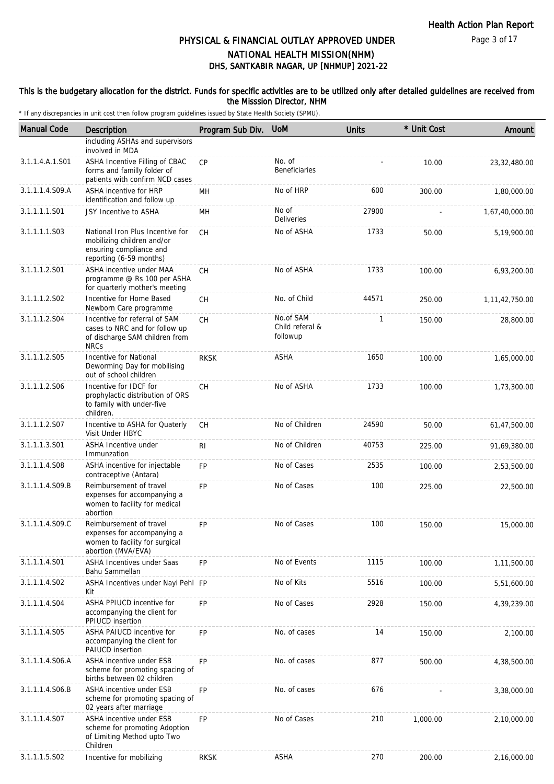#### Page 3 of 17

# DHS, SANTKABIR NAGAR, UP [NHMUP] 2021-22 PHYSICAL & FINANCIAL OUTLAY APPROVED UNDER NATIONAL HEALTH MISSION(NHM)

### This is the budgetary allocation for the district. Funds for specific activities are to be utilized only after detailed guidelines are received from the Misssion Director, NHM

| <b>Manual Code</b> | Description                                                                                                          | Program Sub Div. | <b>UoM</b>                               | <b>Units</b> | * Unit Cost | Amount            |
|--------------------|----------------------------------------------------------------------------------------------------------------------|------------------|------------------------------------------|--------------|-------------|-------------------|
|                    | including ASHAs and supervisors<br>involved in MDA                                                                   |                  |                                          |              |             |                   |
| 3.1.1.4.A.1.S01    | ASHA Incentive Filling of CBAC<br>forms and familly folder of<br>patients with confirm NCD cases                     | <b>CP</b>        | No. of<br><b>Beneficiaries</b>           |              | 10.00       | 23, 32, 480.00    |
| 3.1.1.1.4.S09.A    | ASHA incentive for HRP<br>identification and follow up                                                               | MН               | No of HRP                                | 600          | 300.00      | 1,80,000.00       |
| 3.1.1.1.1.S01      | JSY Incentive to ASHA                                                                                                | MH               | No of<br>Deliveries                      | 27900        |             | 1,67,40,000.00    |
| 3.1.1.1.1.S03      | National Iron Plus Incentive for<br>mobilizing children and/or<br>ensuring compliance and<br>reporting (6-59 months) | <b>CH</b>        | No of ASHA                               | 1733         | 50.00       | 5,19,900.00       |
| 3.1.1.1.2.S01      | ASHA incentive under MAA<br>programme @ Rs 100 per ASHA<br>for quarterly mother's meeting                            | <b>CH</b>        | No of ASHA                               | 1733         | 100.00      | 6,93,200.00       |
| 3.1.1.1.2.S02      | Incentive for Home Based<br>Newborn Care programme                                                                   | CH               | No. of Child                             | 44571        | 250.00      | 1, 11, 42, 750.00 |
| 3.1.1.1.2.S04      | Incentive for referral of SAM<br>cases to NRC and for follow up<br>of discharge SAM children from<br><b>NRCs</b>     | <b>CH</b>        | No.of SAM<br>Child referal &<br>followup | 1            | 150.00      | 28,800.00         |
| 3.1.1.1.2.S05      | Incentive for National<br>Deworming Day for mobilising<br>out of school children                                     | <b>RKSK</b>      | ASHA                                     | 1650         | 100.00      | 1,65,000.00       |
| 3.1.1.1.2.S06      | Incentive for IDCF for<br>prophylactic distribution of ORS<br>to family with under-five<br>children.                 | CH               | No of ASHA                               | 1733         | 100.00      | 1,73,300.00       |
| 3.1.1.1.2.S07      | Incentive to ASHA for Quaterly<br>Visit Under HBYC                                                                   | <b>CH</b>        | No of Children                           | 24590        | 50.00       | 61,47,500.00      |
| 3.1.1.1.3.S01      | ASHA Incentive under<br>Immunzation                                                                                  | R <sub>1</sub>   | No of Children                           | 40753        | 225.00      | 91,69,380.00      |
| 3.1.1.1.4.S08      | ASHA incentive for injectable<br>contraceptive (Antara)                                                              | <b>FP</b>        | No of Cases                              | 2535         | 100.00      | 2,53,500.00       |
| 3.1.1.1.4.S09.B    | Reimbursement of travel<br>expenses for accompanying a<br>women to facility for medical<br>abortion                  | <b>FP</b>        | No of Cases                              | 100          | 225.00      | 22,500.00         |
| 3.1.1.1.4.S09.C    | Reimbursement of travel<br>expenses for accompanying a<br>women to facility for surgical<br>abortion (MVA/EVA)       | <b>FP</b>        | No of Cases                              | 100          | 150.00      | 15,000.00         |
| 3.1.1.1.4.S01      | <b>ASHA Incentives under Saas</b><br>Bahu Sammellan                                                                  | <b>FP</b>        | No of Events                             | 1115         | 100.00      | 1,11,500.00       |
| 3.1.1.1.4.S02      | ASHA Incentives under Nayi Pehl FP<br>Kit                                                                            |                  | No of Kits                               | 5516         | 100.00      | 5,51,600.00       |
| 3.1.1.1.4.S04      | ASHA PPIUCD incentive for<br>accompanying the client for<br>PPIUCD insertion                                         | FP               | No of Cases                              | 2928         | 150.00      | 4,39,239.00       |
| 3.1.1.1.4.S05      | ASHA PAIUCD incentive for<br>accompanying the client for<br>PAIUCD insertion                                         | FP               | No. of cases                             | 14           | 150.00      | 2,100.00          |
| 3.1.1.1.4.S06.A    | ASHA incentive under ESB<br>scheme for promoting spacing of<br>births between 02 children                            | <b>FP</b>        | No. of cases                             | 877          | 500.00      | 4,38,500.00       |
| 3.1.1.1.4.S06.B    | ASHA incentive under ESB<br>scheme for promoting spacing of<br>02 years after marriage                               | <b>FP</b>        | No. of cases                             | 676          |             | 3,38,000.00       |
| 3.1.1.1.4.S07      | ASHA incentive under ESB<br>scheme for promoting Adoption<br>of Limiting Method upto Two<br>Children                 | <b>FP</b>        | No of Cases                              | 210          | 1,000.00    | 2,10,000.00       |
| 3.1.1.1.5.S02      | Incentive for mobilizing                                                                                             | <b>RKSK</b>      | ASHA                                     | 270          | 200.00      | 2,16,000.00       |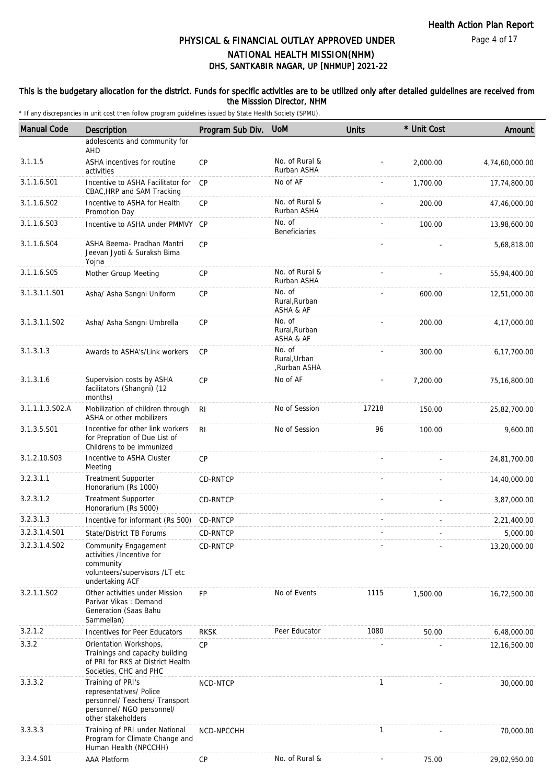### This is the budgetary allocation for the district. Funds for specific activities are to be utilized only after detailed guidelines are received from the Misssion Director, NHM

| <b>Manual Code</b> | Description                                                                                                                       | Program Sub Div. | <b>UoM</b>                             | <b>Units</b> | * Unit Cost | Amount         |
|--------------------|-----------------------------------------------------------------------------------------------------------------------------------|------------------|----------------------------------------|--------------|-------------|----------------|
|                    | adolescents and community for<br>AHD                                                                                              |                  |                                        |              |             |                |
| 3.1.1.5            | ASHA incentives for routine<br>activities                                                                                         | <b>CP</b>        | No. of Rural &<br>Rurban ASHA          |              | 2,000.00    | 4,74,60,000.00 |
| 3.1.1.6.S01        | Incentive to ASHA Facilitator for<br>CBAC, HRP and SAM Tracking                                                                   | <b>CP</b>        | No of AF                               |              | 1,700.00    | 17,74,800.00   |
| 3.1.1.6.S02        | Incentive to ASHA for Health<br>Promotion Day                                                                                     | CP               | No. of Rural &<br>Rurban ASHA          |              | 200.00      | 47,46,000.00   |
| 3.1.1.6.S03        | Incentive to ASHA under PMMVY CP                                                                                                  |                  | No. of<br><b>Beneficiaries</b>         |              | 100.00      | 13,98,600.00   |
| 3.1.1.6.S04        | ASHA Beema- Pradhan Mantri<br>Jeevan Jyoti & Suraksh Bima<br>Yojna                                                                | CP               |                                        |              |             | 5,68,818.00    |
| 3.1.1.6.S05        | Mother Group Meeting                                                                                                              | CP               | No. of Rural &<br>Rurban ASHA          |              |             | 55,94,400.00   |
| 3.1.3.1.1.S01      | Asha/ Asha Sangni Uniform                                                                                                         | CP               | No. of<br>Rural, Rurban<br>ASHA & AF   |              | 600.00      | 12,51,000.00   |
| 3.1.3.1.1.S02      | Asha/ Asha Sangni Umbrella                                                                                                        | <b>CP</b>        | No. of<br>Rural, Rurban<br>ASHA & AF   |              | 200.00      | 4,17,000.00    |
| 3.1.3.1.3          | Awards to ASHA's/Link workers                                                                                                     | <b>CP</b>        | No. of<br>Rural, Urban<br>,Rurban ASHA |              | 300.00      | 6,17,700.00    |
| 3.1.3.1.6          | Supervision costs by ASHA<br>facilitators (Shangni) (12<br>months)                                                                | <b>CP</b>        | No of AF                               |              | 7,200.00    | 75,16,800.00   |
| 3.1.1.1.3.S02.A    | Mobilization of children through<br>ASHA or other mobilizers                                                                      | <b>RI</b>        | No of Session                          | 17218        | 150.00      | 25,82,700.00   |
| 3.1.3.5.S01        | Incentive for other link workers<br>for Prepration of Due List of<br>Childrens to be immunized                                    | R <sub>l</sub>   | No of Session                          | 96           | 100.00      | 9,600.00       |
| 3.1.2.10.S03       | Incentive to ASHA Cluster<br>Meeting                                                                                              | CP               |                                        |              |             | 24,81,700.00   |
| 3.2.3.1.1          | <b>Treatment Supporter</b><br>Honorarium (Rs 1000)                                                                                | CD-RNTCP         |                                        |              |             | 14,40,000.00   |
| 3.2.3.1.2          | <b>Treatment Supporter</b><br>Honorarium (Rs 5000)                                                                                | CD-RNTCP         |                                        |              |             | 3,87,000.00    |
| 3.2.3.1.3          | Incentive for informant (Rs 500)                                                                                                  | <b>CD-RNTCP</b>  |                                        |              |             | 2,21,400.00    |
| 3.2.3.1.4.S01      | State/District TB Forums                                                                                                          | CD-RNTCP         |                                        |              |             | 5,000.00       |
| 3.2.3.1.4.S02      | Community Engagement<br>activities /Incentive for<br>community<br>volunteers/supervisors /LT etc<br>undertaking ACF               | CD-RNTCP         |                                        |              |             | 13,20,000.00   |
| 3.2.1.1.S02        | Other activities under Mission<br>Parivar Vikas: Demand<br>Generation (Saas Bahu<br>Sammellan)                                    | <b>FP</b>        | No of Events                           | 1115         | 1,500.00    | 16,72,500.00   |
| 3.2.1.2            | Incentives for Peer Educators                                                                                                     | <b>RKSK</b>      | Peer Educator                          | 1080         | 50.00       | 6,48,000.00    |
| 3.3.2              | Orientation Workshops,<br>Trainings and capacity building<br>of PRI for RKS at District Health<br>Societies, CHC and PHC          | CP               |                                        |              |             | 12,16,500.00   |
| 3.3.3.2            | Training of PRI's<br>representatives/ Police<br>personnel/ Teachers/ Transport<br>personnel/ NGO personnel/<br>other stakeholders | NCD-NTCP         |                                        | $\mathbf{1}$ |             | 30,000.00      |
| 3.3.3.3            | Training of PRI under National<br>Program for Climate Change and<br>Human Health (NPCCHH)                                         | NCD-NPCCHH       |                                        | $\mathbf{1}$ |             | 70,000.00      |
| 3.3.4.S01          | AAA Platform                                                                                                                      | CP               | No. of Rural &                         |              | 75.00       | 29,02,950.00   |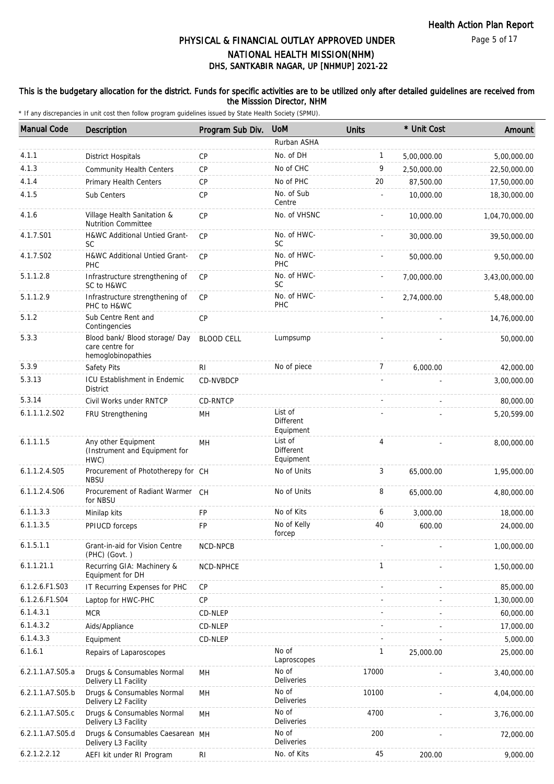#### Page 5 of 17

## DHS, SANTKABIR NAGAR, UP [NHMUP] 2021-22 PHYSICAL & FINANCIAL OUTLAY APPROVED UNDER NATIONAL HEALTH MISSION(NHM)

### This is the budgetary allocation for the district. Funds for specific activities are to be utilized only after detailed guidelines are received from the Misssion Director, NHM

| <b>Manual Code</b> | Description                                                             | Program Sub Div.  | <b>UoM</b>                               | Units        | * Unit Cost | Amount         |
|--------------------|-------------------------------------------------------------------------|-------------------|------------------------------------------|--------------|-------------|----------------|
|                    |                                                                         |                   | Rurban ASHA                              |              |             |                |
| 4.1.1              | <b>District Hospitals</b>                                               | CP                | No. of DH                                | $\mathbf{1}$ | 5,00,000.00 | 5,00,000.00    |
| 4.1.3              | <b>Community Health Centers</b>                                         | CP                | No of CHC                                | 9            | 2,50,000.00 | 22,50,000.00   |
| 4.1.4              | <b>Primary Health Centers</b>                                           | <b>CP</b>         | No of PHC                                | 20           | 87,500.00   | 17,50,000.00   |
| 4.1.5              | Sub Centers                                                             | CP                | No. of Sub<br>Centre                     |              | 10,000.00   | 18,30,000.00   |
| 4.1.6              | Village Health Sanitation &<br><b>Nutrition Committee</b>               | <b>CP</b>         | No. of VHSNC                             |              | 10,000.00   | 1,04,70,000.00 |
| 4.1.7.S01          | <b>H&amp;WC Additional Untied Grant-</b><br><b>SC</b>                   | CP                | No. of HWC-<br><b>SC</b>                 |              | 30,000.00   | 39,50,000.00   |
| 4.1.7.S02          | H&WC Additional Untied Grant-<br>PHC                                    | CP                | No. of HWC-<br>PHC                       |              | 50,000.00   | 9,50,000.00    |
| 5.1.1.2.8          | Infrastructure strengthening of<br>SC to H&WC                           | <b>CP</b>         | No. of HWC-<br><b>SC</b>                 |              | 7,00,000.00 | 3,43,00,000.00 |
| 5.1.1.2.9          | Infrastructure strengthening of<br>PHC to H&WC                          | CP                | No. of HWC-<br><b>PHC</b>                |              | 2,74,000.00 | 5,48,000.00    |
| 5.1.2              | Sub Centre Rent and<br>Contingencies                                    | CP                |                                          |              |             | 14,76,000.00   |
| 5.3.3              | Blood bank/ Blood storage/ Day<br>care centre for<br>hemoglobinopathies | <b>BLOOD CELL</b> | Lumpsump                                 |              |             | 50,000.00      |
| 5.3.9              | Safety Pits                                                             | R <sub>l</sub>    | No of piece                              | 7            | 6,000.00    | 42,000.00      |
| 5.3.13             | ICU Establishment in Endemic<br><b>District</b>                         | CD-NVBDCP         |                                          |              |             | 3,00,000.00    |
| 5.3.14             | Civil Works under RNTCP                                                 | CD-RNTCP          |                                          |              |             | 80,000.00      |
| 6.1.1.1.2.S02      | FRU Strengthening                                                       | MH                | List of<br><b>Different</b><br>Equipment |              |             | 5,20,599.00    |
| 6.1.1.1.5          | Any other Equipment<br>(Instrument and Equipment for<br>HWC)            | MH                | List of<br>Different<br>Equipment        | 4            |             | 8,00,000.00    |
| 6.1.1.2.4.S05      | Procurement of Phototherepy for CH<br><b>NBSU</b>                       |                   | No of Units                              | 3            | 65,000.00   | 1,95,000.00    |
| 6.1.1.2.4.S06      | Procurement of Radiant Warmer CH<br>for NBSU                            |                   | No of Units                              | 8            | 65,000.00   | 4,80,000.00    |
| 6.1.1.3.3          | Minilap kits                                                            | <b>FP</b>         | No of Kits                               | 6            | 3,000.00    | 18,000.00      |
| 6.1.1.3.5          | PPIUCD forceps                                                          | FP                | No of Kelly<br>forcep                    | 40           | 600.00      | 24,000.00      |
| 6.1.5.1.1          | Grant-in-aid for Vision Centre<br>(PHC) (Govt.)                         | NCD-NPCB          |                                          |              |             | 1,00,000.00    |
| 6.1.1.21.1         | Recurring GIA: Machinery &<br>Equipment for DH                          | NCD-NPHCE         |                                          | $\mathbf{1}$ |             | 1,50,000.00    |
| 6.1.2.6.F1.S03     | IT Recurring Expenses for PHC                                           | CP                |                                          |              |             | 85,000.00      |
| 6.1.2.6.F1.S04     | Laptop for HWC-PHC                                                      | <b>CP</b>         |                                          |              |             | 1,30,000.00    |
| 6.1.4.3.1          | <b>MCR</b>                                                              | CD-NLEP           |                                          |              |             | 60,000.00      |
| 6.1.4.3.2          | Aids/Appliance                                                          | CD-NLEP           |                                          |              |             | 17,000.00      |
| 6.1.4.3.3          | Equipment                                                               | CD-NLEP           |                                          |              |             | 5,000.00       |
| 6.1.6.1            | Repairs of Laparoscopes                                                 |                   | No of<br>Laproscopes                     | $\mathbf{1}$ | 25,000.00   | 25,000.00      |
| 6.2.1.1.A7.S05.a   | Drugs & Consumables Normal<br>Delivery L1 Facility                      | MH                | No of<br>Deliveries                      | 17000        |             | 3,40,000.00    |
| 6.2.1.1.A7.S05.b   | Drugs & Consumables Normal<br>Delivery L2 Facility                      | MH                | No of<br>Deliveries                      | 10100        |             | 4,04,000.00    |
| 6.2.1.1.A7.S05.c   | Drugs & Consumables Normal<br>Delivery L3 Facility                      | MH                | No of<br>Deliveries                      | 4700         |             | 3,76,000.00    |
| 6.2.1.1.A7.S05.d   | Drugs & Consumables Caesarean MH<br>Delivery L3 Facility                |                   | No of<br>Deliveries                      | 200          |             | 72,000.00      |
| 6.2.1.2.2.12       | AEFI kit under RI Program                                               | R <sub>l</sub>    | No. of Kits                              | 45           | 200.00      | 9,000.00       |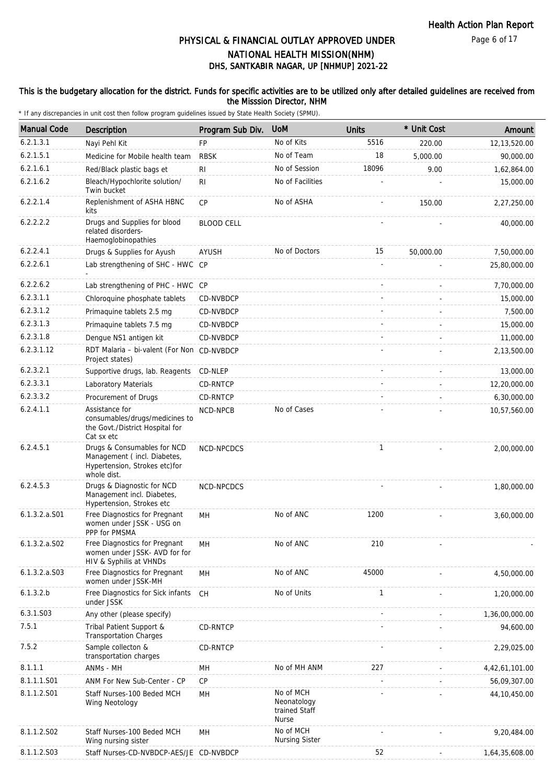### This is the budgetary allocation for the district. Funds for specific activities are to be utilized only after detailed guidelines are received from the Misssion Director, NHM

| <b>Manual Code</b> | Description                                                                                                | Program Sub Div.  | <b>UoM</b>                                                | <b>Units</b> | * Unit Cost | Amount         |
|--------------------|------------------------------------------------------------------------------------------------------------|-------------------|-----------------------------------------------------------|--------------|-------------|----------------|
| 6.2.1.3.1          | Nayi Pehl Kit                                                                                              | <b>FP</b>         | No of Kits                                                | 5516         | 220.00      | 12,13,520.00   |
| 6.2.1.5.1          | Medicine for Mobile health team                                                                            | <b>RBSK</b>       | No of Team                                                | 18           | 5,000.00    | 90,000.00      |
| 6.2.1.6.1          | Red/Black plastic bags et                                                                                  | R <sub>1</sub>    | No of Session                                             | 18096        | 9.00        | 1,62,864.00    |
| 6.2.1.6.2          | Bleach/Hypochlorite solution/<br>Twin bucket                                                               | R <sub>1</sub>    | No of Facilities                                          |              |             | 15,000.00      |
| 6.2.2.1.4          | Replenishment of ASHA HBNC<br>kits                                                                         | CP                | No of ASHA                                                |              | 150.00      | 2,27,250.00    |
| 6.2.2.2.2          | Drugs and Supplies for blood<br>related disorders-<br>Haemoglobinopathies                                  | <b>BLOOD CELL</b> |                                                           |              |             | 40,000.00      |
| 6.2.2.4.1          | Drugs & Supplies for Ayush                                                                                 | AYUSH             | No of Doctors                                             | 15           | 50,000.00   | 7,50,000.00    |
| 6.2.2.6.1          | Lab strengthening of SHC - HWC CP                                                                          |                   |                                                           |              |             | 25,80,000.00   |
| 6.2.2.6.2          | Lab strengthening of PHC - HWC CP                                                                          |                   |                                                           |              |             | 7,70,000.00    |
| 6.2.3.1.1          | Chloroquine phosphate tablets                                                                              | CD-NVBDCP         |                                                           |              |             | 15,000.00      |
| 6.2.3.1.2          | Primaquine tablets 2.5 mg                                                                                  | CD-NVBDCP         |                                                           |              |             | 7,500.00       |
| 6.2.3.1.3          | Primaquine tablets 7.5 mg                                                                                  | CD-NVBDCP         |                                                           |              |             | 15,000.00      |
| 6.2.3.1.8          | Dengue NS1 antigen kit                                                                                     | CD-NVBDCP         |                                                           |              |             | 11,000.00      |
| 6.2.3.1.12         | RDT Malaria - bi-valent (For Non CD-NVBDCP<br>Project states)                                              |                   |                                                           |              |             | 2,13,500.00    |
| 6.2.3.2.1          | Supportive drugs, lab. Reagents                                                                            | CD-NLEP           |                                                           |              |             | 13,000.00      |
| 6.2.3.3.1          | Laboratory Materials                                                                                       | CD-RNTCP          |                                                           |              |             | 12,20,000.00   |
| 6.2.3.3.2          | Procurement of Drugs                                                                                       | CD-RNTCP          |                                                           |              |             | 6,30,000.00    |
| 6.2.4.1.1          | Assistance for<br>consumables/drugs/medicines to<br>the Govt./District Hospital for<br>Cat sx etc          | NCD-NPCB          | No of Cases                                               |              |             | 10,57,560.00   |
| 6.2.4.5.1          | Drugs & Consumables for NCD<br>Management (incl. Diabetes,<br>Hypertension, Strokes etc)for<br>whole dist. | NCD-NPCDCS        |                                                           | 1            |             | 2,00,000.00    |
| 6.2.4.5.3          | Drugs & Diagnostic for NCD<br>Management incl. Diabetes,<br>Hypertension, Strokes etc                      | NCD-NPCDCS        |                                                           |              |             | 1,80,000.00    |
| $6.1.3.2.a.$ S01   | Free Diagnostics for Pregnant<br>women under JSSK - USG on<br>PPP for PMSMA                                | MН                | No of ANC                                                 | 1200         |             | 3,60,000.00    |
| 6.1.3.2.a.S02      | Free Diagnostics for Pregnant<br>women under JSSK- AVD for for<br>HIV & Syphilis at VHNDs                  | MH                | No of ANC                                                 | 210          |             |                |
| 6.1.3.2.a.S03      | Free Diagnostics for Pregnant<br>women under JSSK-MH                                                       | <b>MH</b>         | No of ANC                                                 | 45000        |             | 4,50,000.00    |
| 6.1.3.2.b          | Free Diagnostics for Sick infants<br>under JSSK                                                            | <b>CH</b>         | No of Units                                               | $\mathbf{1}$ |             | 1,20,000.00    |
| 6.3.1.S03          | Any other (please specify)                                                                                 |                   |                                                           |              |             | 1,36,00,000.00 |
| 7.5.1              | Tribal Patient Support &<br><b>Transportation Charges</b>                                                  | CD-RNTCP          |                                                           |              |             | 94,600.00      |
| 7.5.2              | Sample collecton &<br>transportation charges                                                               | CD-RNTCP          |                                                           |              |             | 2,29,025.00    |
| 8.1.1.1            | ANMs - MH                                                                                                  | MН                | No of MH ANM                                              | 227          |             | 4,42,61,101.00 |
| 8.1.1.1.S01        | ANM For New Sub-Center - CP                                                                                | CP                |                                                           |              |             | 56,09,307.00   |
| 8.1.1.2.S01        | Staff Nurses-100 Beded MCH<br>Wing Neotology                                                               | MН                | No of MCH<br>Neonatology<br>trained Staff<br><b>Nurse</b> |              |             | 44, 10, 450.00 |
| 8.1.1.2.S02        | Staff Nurses-100 Beded MCH<br>Wing nursing sister                                                          | MН                | No of MCH<br><b>Nursing Sister</b>                        |              |             | 9,20,484.00    |
| 8.1.1.2.S03        | Staff Nurses-CD-NVBDCP-AES/JE CD-NVBDCP                                                                    |                   |                                                           | 52           |             | 1,64,35,608.00 |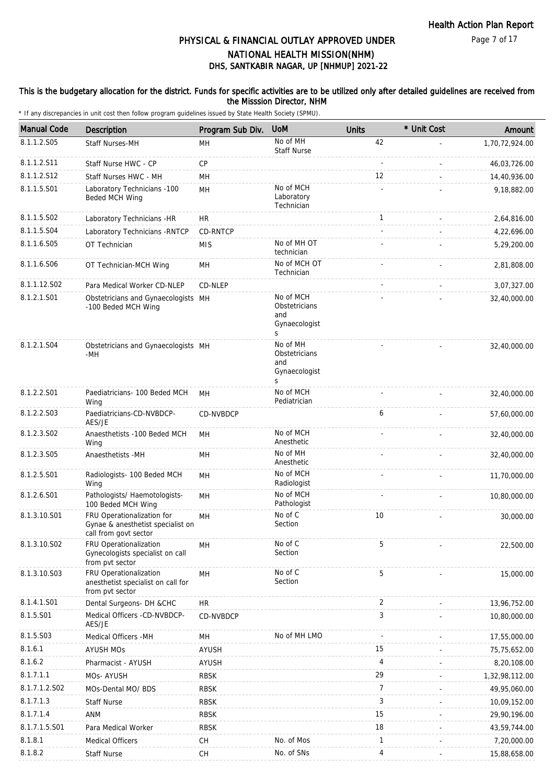### This is the budgetary allocation for the district. Funds for specific activities are to be utilized only after detailed guidelines are received from the Misssion Director, NHM

| <b>Manual Code</b> | Description                                                                              | Program Sub Div. | <b>UoM</b>                                              | <b>Units</b> | * Unit Cost | Amount         |
|--------------------|------------------------------------------------------------------------------------------|------------------|---------------------------------------------------------|--------------|-------------|----------------|
| 8.1.1.2.S05        | <b>Staff Nurses-MH</b>                                                                   | MН               | No of MH<br><b>Staff Nurse</b>                          | 42           |             | 1,70,72,924.00 |
| 8.1.1.2.S11        | Staff Nurse HWC - CP                                                                     | CP               |                                                         |              |             | 46,03,726.00   |
| 8.1.1.2.S12        | Staff Nurses HWC - MH                                                                    | MН               |                                                         | 12           |             | 14,40,936.00   |
| 8.1.1.5.S01        | Laboratory Technicians -100<br>Beded MCH Wing                                            | MH               | No of MCH<br>Laboratory<br>Technician                   |              |             | 9,18,882.00    |
| 8.1.1.5.S02        | Laboratory Technicians -HR                                                               | <b>HR</b>        |                                                         | $\mathbf{1}$ |             | 2,64,816.00    |
| 8.1.1.5.S04        | Laboratory Technicians - RNTCP                                                           | CD-RNTCP         |                                                         |              |             | 4,22,696.00    |
| 8.1.1.6.S05        | OT Technician                                                                            | <b>MIS</b>       | No of MH OT<br>technician                               |              |             | 5,29,200.00    |
| 8.1.1.6.S06        | OT Technician-MCH Wing                                                                   | MH               | No of MCH OT<br>Technician                              |              |             | 2,81,808.00    |
| 8.1.1.12.S02       | Para Medical Worker CD-NLEP                                                              | CD-NLEP          |                                                         |              |             | 3,07,327.00    |
| 8.1.2.1.S01        | Obstetricians and Gynaecologists MH<br>-100 Beded MCH Wing                               |                  | No of MCH<br>Obstetricians<br>and<br>Gynaecologist<br>S |              |             | 32,40,000.00   |
| 8.1.2.1.S04        | Obstetricians and Gynaecologists MH<br>-MH                                               |                  | No of MH<br>Obstetricians<br>and<br>Gynaecologist<br>S  |              |             | 32,40,000.00   |
| 8.1.2.2.S01        | Paediatricians- 100 Beded MCH<br>Wing                                                    | MН               | No of MCH<br>Pediatrician                               |              |             | 32,40,000.00   |
| 8.1.2.2.S03        | Paediatricians-CD-NVBDCP-<br>AES/JE                                                      | <b>CD-NVBDCP</b> |                                                         | 6            |             | 57,60,000.00   |
| 8.1.2.3.SO2        | Anaesthetists -100 Beded MCH<br>Wing                                                     | MH               | No of MCH<br>Anesthetic                                 |              |             | 32,40,000.00   |
| 8.1.2.3.S05        | Anaesthetists -MH                                                                        | MH               | No of MH<br>Anesthetic                                  |              |             | 32,40,000.00   |
| 8.1.2.5.S01        | Radiologists- 100 Beded MCH<br>Wing                                                      | MH               | No of MCH<br>Radiologist                                |              |             | 11,70,000.00   |
| 8.1.2.6.S01        | Pathologists/ Haemotologists-<br>100 Beded MCH Wing                                      | MH               | No of MCH<br>Pathologist                                |              |             | 10,80,000.00   |
| 8.1.3.10.S01       | FRU Operationalization for<br>Gynae & anesthetist specialist on<br>call from govt sector | MH               | No of C<br>Section                                      | 10           |             | 30,000.00      |
| 8.1.3.10.S02       | FRU Operationalization<br>Gynecologists specialist on call<br>from pvt sector            | MH               | No of C<br>Section                                      | 5            |             | 22,500.00      |
| 8.1.3.10.S03       | FRU Operationalization<br>anesthetist specialist on call for<br>from pvt sector          | MH               | No of C<br>Section                                      | 5            |             | 15,000.00      |
| 8.1.4.1.S01        | Dental Surgeons- DH &CHC                                                                 | <b>HR</b>        |                                                         | 2            |             | 13,96,752.00   |
| 8.1.5.S01          | Medical Officers -CD-NVBDCP-<br>AES/JE                                                   | CD-NVBDCP        |                                                         | 3            |             | 10,80,000.00   |
| 8.1.5.S03          | Medical Officers -MH                                                                     | MH               | No of MH LMO                                            |              |             | 17,55,000.00   |
| 8.1.6.1            | <b>AYUSH MOs</b>                                                                         | <b>AYUSH</b>     |                                                         | 15           |             | 75,75,652.00   |
| 8.1.6.2            | Pharmacist - AYUSH                                                                       | <b>AYUSH</b>     |                                                         | 4            |             | 8,20,108.00    |
| 8.1.7.1.1          | MOs- AYUSH                                                                               | <b>RBSK</b>      |                                                         | 29           |             | 1,32,98,112.00 |
| 8.1.7.1.2.S02      | MOs-Dental MO/ BDS                                                                       | <b>RBSK</b>      |                                                         | 7            |             | 49,95,060.00   |
| 8.1.7.1.3          | <b>Staff Nurse</b>                                                                       | <b>RBSK</b>      |                                                         | 3            |             | 10,09,152.00   |
| 8.1.7.1.4          | <b>ANM</b>                                                                               | <b>RBSK</b>      |                                                         | 15           |             | 29,90,196.00   |
| 8.1.7.1.5.S01      | Para Medical Worker                                                                      | <b>RBSK</b>      |                                                         | 18           |             | 43,59,744.00   |
| 8.1.8.1            | <b>Medical Officers</b>                                                                  | CH               | No. of Mos                                              | 1            |             | 7,20,000.00    |
| 8.1.8.2            | <b>Staff Nurse</b>                                                                       | CH               | No. of SNs                                              | 4            |             | 15,88,658.00   |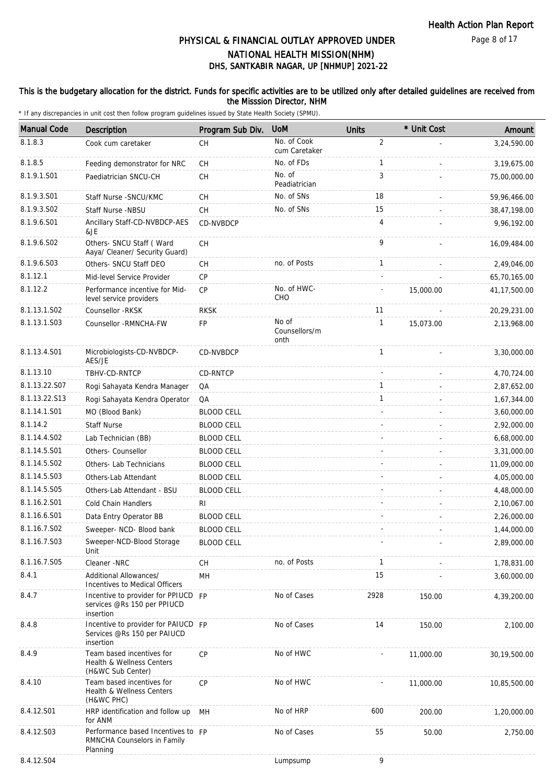### Page 8 of 17

## DHS, SANTKABIR NAGAR, UP [NHMUP] 2021-22 PHYSICAL & FINANCIAL OUTLAY APPROVED UNDER NATIONAL HEALTH MISSION(NHM)

### This is the budgetary allocation for the district. Funds for specific activities are to be utilized only after detailed guidelines are received from the Misssion Director, NHM

| <b>Manual Code</b>      | Description                                                                     | Program Sub Div.  | <b>UoM</b>                     | <b>Units</b>   | * Unit Cost | Amount         |
|-------------------------|---------------------------------------------------------------------------------|-------------------|--------------------------------|----------------|-------------|----------------|
| 8.1.8.3                 | Cook cum caretaker                                                              | <b>CH</b>         | No. of Cook<br>cum Caretaker   | $\overline{2}$ |             | 3,24,590.00    |
| 8.1.8.5                 | Feeding demonstrator for NRC                                                    | <b>CH</b>         | No. of FDs                     | $\mathbf{1}$   |             | 3,19,675.00    |
| 8.1.9.1.S01             | Paediatrician SNCU-CH                                                           | <b>CH</b>         | No. of<br>Peadiatrician        | 3              |             | 75,00,000.00   |
| 8.1.9.3.S01             | Staff Nurse - SNCU/KMC                                                          | <b>CH</b>         | No. of SNs                     | 18             |             | 59,96,466.00   |
| 8.1.9.3.SO <sub>2</sub> | Staff Nurse -NBSU                                                               | <b>CH</b>         | No. of SNs                     | 15             |             | 38,47,198.00   |
| 8.1.9.6.S01             | Ancillary Staff-CD-NVBDCP-AES<br>&JE                                            | CD-NVBDCP         |                                | 4              |             | 9,96,192.00    |
| 8.1.9.6.SO2             | Others- SNCU Staff (Ward<br>Aaya/ Cleaner/ Security Guard)                      | <b>CH</b>         |                                | 9              |             | 16,09,484.00   |
| 8.1.9.6.S03             | Others- SNCU Staff DEO                                                          | <b>CH</b>         | no. of Posts                   | $\mathbf{1}$   |             | 2,49,046.00    |
| 8.1.12.1                | Mid-level Service Provider                                                      | <b>CP</b>         |                                |                |             | 65,70,165.00   |
| 8.1.12.2                | Performance incentive for Mid-<br>level service providers                       | CP                | No. of HWC-<br>CHO             |                | 15,000.00   | 41, 17, 500.00 |
| 8.1.13.1.S02            | Counsellor -RKSK                                                                | <b>RKSK</b>       |                                | 11             |             | 20,29,231.00   |
| 8.1.13.1.S03            | Counsellor - RMNCHA-FW                                                          | FP                | No of<br>Counsellors/m<br>onth | $\mathbf{1}$   | 15,073.00   | 2,13,968.00    |
| 8.1.13.4.S01            | Microbiologists-CD-NVBDCP-<br>AES/JE                                            | CD-NVBDCP         |                                | $\mathbf{1}$   |             | 3,30,000.00    |
| 8.1.13.10               | TBHV-CD-RNTCP                                                                   | CD-RNTCP          |                                |                |             | 4,70,724.00    |
| 8.1.13.22.S07           | Rogi Sahayata Kendra Manager                                                    | QA                |                                | $\mathbf{1}$   |             | 2,87,652.00    |
| 8.1.13.22.S13           | Rogi Sahayata Kendra Operator                                                   | QA                |                                | $\mathbf{1}$   |             | 1,67,344.00    |
| 8.1.14.1.S01            | MO (Blood Bank)                                                                 | <b>BLOOD CELL</b> |                                |                |             | 3,60,000.00    |
| 8.1.14.2                | <b>Staff Nurse</b>                                                              | <b>BLOOD CELL</b> |                                |                |             | 2,92,000.00    |
| 8.1.14.4.S02            | Lab Technician (BB)                                                             | <b>BLOOD CELL</b> |                                |                |             | 6,68,000.00    |
| 8.1.14.5.S01            | Others- Counsellor                                                              | <b>BLOOD CELL</b> |                                |                |             | 3,31,000.00    |
| 8.1.14.5.S02            | Others- Lab Technicians                                                         | <b>BLOOD CELL</b> |                                |                |             | 11,09,000.00   |
| 8.1.14.5.S03            | Others-Lab Attendant                                                            | <b>BLOOD CELL</b> |                                |                |             | 4,05,000.00    |
| 8.1.14.5.S05            | Others-Lab Attendant - BSU                                                      | <b>BLOOD CELL</b> |                                |                |             | 4,48,000.00    |
| 8.1.16.2.S01            | Cold Chain Handlers                                                             | RI.               |                                |                |             | 2,10,067.00    |
| 8.1.16.6.S01            | Data Entry Operator BB                                                          | <b>BLOOD CELL</b> |                                |                |             | 2,26,000.00    |
| 8.1.16.7.S02            | Sweeper- NCD- Blood bank                                                        | <b>BLOOD CELL</b> |                                |                |             | 1,44,000.00    |
| 8.1.16.7.S03            | Sweeper-NCD-Blood Storage<br>Unit                                               | <b>BLOOD CELL</b> |                                |                |             | 2,89,000.00    |
| 8.1.16.7.S05            | Cleaner -NRC                                                                    | CH                | no. of Posts                   | $\mathbf{1}$   |             | 1,78,831.00    |
| 8.4.1                   | Additional Allowances/<br><b>Incentives to Medical Officers</b>                 | MH                |                                | 15             |             | 3,60,000.00    |
| 8.4.7                   | Incentive to provider for PPIUCD FP<br>services @Rs 150 per PPIUCD<br>insertion |                   | No of Cases                    | 2928           | 150.00      | 4,39,200.00    |
| 8.4.8                   | Incentive to provider for PAIUCD FP<br>Services @Rs 150 per PAIUCD<br>insertion |                   | No of Cases                    | 14             | 150.00      | 2,100.00       |
| 8.4.9                   | Team based incentives for<br>Health & Wellness Centers<br>(H&WC Sub Center)     | CP                | No of HWC                      |                | 11,000.00   | 30,19,500.00   |
| 8.4.10                  | Team based incentives for<br>Health & Wellness Centers<br>(H&WC PHC)            | <b>CP</b>         | No of HWC                      |                | 11,000.00   | 10,85,500.00   |
| 8.4.12.S01              | HRP identification and follow up<br>for ANM                                     | MH                | No of HRP                      | 600            | 200.00      | 1,20,000.00    |
| 8.4.12.S03              | Performance based Incentives to FP<br>RMNCHA Counselors in Family<br>Planning   |                   | No of Cases                    | 55             | 50.00       | 2,750.00       |
| 8.4.12.S04              |                                                                                 |                   | Lumpsump                       | 9              |             |                |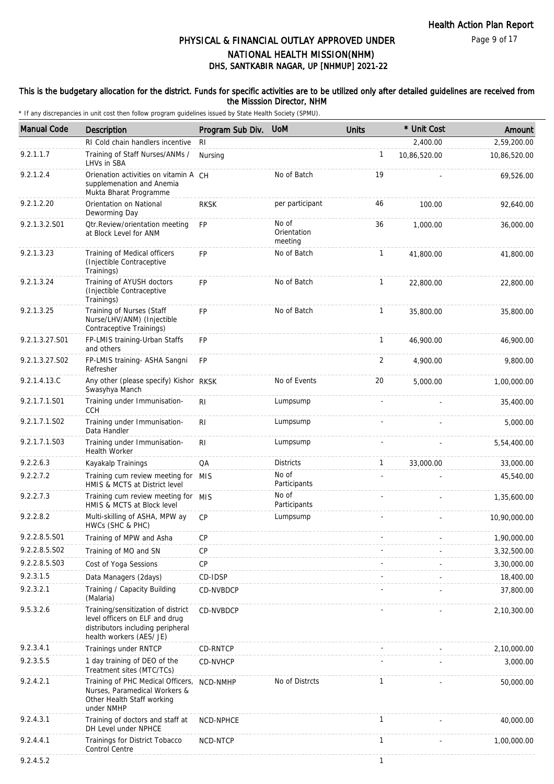### This is the budgetary allocation for the district. Funds for specific activities are to be utilized only after detailed guidelines are received from the Misssion Director, NHM

| <b>Manual Code</b> | <b>Description</b>                                                                                                                    | Program Sub Div. | <b>UoM</b>                      | <b>Units</b>   | * Unit Cost  | Amount       |
|--------------------|---------------------------------------------------------------------------------------------------------------------------------------|------------------|---------------------------------|----------------|--------------|--------------|
|                    | RI Cold chain handlers incentive                                                                                                      | R <sub>l</sub>   |                                 |                | 2,400.00     | 2,59,200.00  |
| 9.2.1.1.7          | Training of Staff Nurses/ANMs /<br>LHVs in SBA                                                                                        | Nursing          |                                 | $\mathbf{1}$   | 10,86,520.00 | 10,86,520.00 |
| 9.2.1.2.4          | Orienation activities on vitamin A CH<br>supplemenation and Anemia<br>Mukta Bharat Programme                                          |                  | No of Batch                     | 19             |              | 69,526.00    |
| 9.2.1.2.20         | Orientation on National<br>Deworming Day                                                                                              | <b>RKSK</b>      | per participant                 | 46             | 100.00       | 92,640.00    |
| 9.2.1.3.2.S01      | Otr.Review/orientation meeting<br>at Block Level for ANM                                                                              | <b>FP</b>        | No of<br>Orientation<br>meeting | 36             | 1,000.00     | 36,000.00    |
| 9.2.1.3.23         | Training of Medical officers<br>(Injectible Contraceptive<br>Trainings)                                                               | <b>FP</b>        | No of Batch                     | $\mathbf{1}$   | 41,800.00    | 41,800.00    |
| 9.2.1.3.24         | Training of AYUSH doctors<br>(Injectible Contraceptive<br>Trainings)                                                                  | <b>FP</b>        | No of Batch                     | $\mathbf{1}$   | 22,800.00    | 22,800.00    |
| 9.2.1.3.25         | Training of Nurses (Staff<br>Nurse/LHV/ANM) (Injectible<br>Contraceptive Trainings)                                                   | FP               | No of Batch                     | $\mathbf{1}$   | 35,800.00    | 35,800.00    |
| 9.2.1.3.27.S01     | FP-LMIS training-Urban Staffs<br>and others                                                                                           | <b>FP</b>        |                                 | $\mathbf{1}$   | 46,900.00    | 46,900.00    |
| 9.2.1.3.27.S02     | FP-LMIS training- ASHA Sangni<br>Refresher                                                                                            | <b>FP</b>        |                                 | $\overline{2}$ | 4,900.00     | 9,800.00     |
| 9.2.1.4.13.C       | Any other (please specify) Kishor RKSK<br>Swasyhya Manch                                                                              |                  | No of Events                    | 20             | 5,000.00     | 1,00,000.00  |
| 9.2.1.7.1.S01      | Training under Immunisation-<br><b>CCH</b>                                                                                            | RI               | Lumpsump                        |                |              | 35,400.00    |
| 9.2.1.7.1.S02      | Training under Immunisation-<br>Data Handler                                                                                          | R <sub>l</sub>   | Lumpsump                        |                |              | 5,000.00     |
| 9.2.1.7.1.S03      | Training under Immunisation-<br><b>Health Worker</b>                                                                                  | RI               | Lumpsump                        |                |              | 5,54,400.00  |
| 9.2.2.6.3          | Kayakalp Trainings                                                                                                                    | QA               | <b>Districts</b>                | $\mathbf{1}$   | 33,000.00    | 33,000.00    |
| 9.2.2.7.2          | Training cum review meeting for MIS<br>HMIS & MCTS at District level                                                                  |                  | No of<br>Participants           |                |              | 45,540.00    |
| 9.2.2.7.3          | Training cum review meeting for MIS<br>HMIS & MCTS at Block level                                                                     |                  | No of<br>Participants           |                |              | 1,35,600.00  |
| 9.2.2.8.2          | Multi-skilling of ASHA, MPW ay<br>HWCs (SHC & PHC)                                                                                    | <b>CP</b>        | Lumpsump                        |                |              | 10,90,000.00 |
| 9.2.2.8.5.S01      | Training of MPW and Asha                                                                                                              | CP               |                                 |                |              | 1,90,000.00  |
| 9.2.2.8.5.S02      | Training of MO and SN                                                                                                                 | <b>CP</b>        |                                 |                |              | 3,32,500.00  |
| 9.2.2.8.5.S03      | Cost of Yoga Sessions                                                                                                                 | CP               |                                 |                |              | 3,30,000.00  |
| 9.2.3.1.5          | Data Managers (2days)                                                                                                                 | CD-IDSP          |                                 |                |              | 18,400.00    |
| 9.2.3.2.1          | Training / Capacity Building<br>(Malaria)                                                                                             | CD-NVBDCP        |                                 |                |              | 37,800.00    |
| 9.5.3.2.6          | Training/sensitization of district<br>level officers on ELF and drug<br>distributors including peripheral<br>health workers (AES/ JE) | CD-NVBDCP        |                                 |                |              | 2,10,300.00  |
| 9.2.3.4.1          | Trainings under RNTCP                                                                                                                 | CD-RNTCP         |                                 |                |              | 2,10,000.00  |
| 9.2.3.5.5          | 1 day training of DEO of the<br>Treatment sites (MTC/TCs)                                                                             | CD-NVHCP         |                                 |                |              | 3,000.00     |
| 9.2.4.2.1          | Training of PHC Medical Officers,<br>Nurses, Paramedical Workers &<br>Other Health Staff working<br>under NMHP                        | NCD-NMHP         | No of Distrcts                  | $\mathbf{1}$   |              | 50,000.00    |
| 9.2.4.3.1          | Training of doctors and staff at<br>DH Level under NPHCE                                                                              | NCD-NPHCE        |                                 | 1              |              | 40,000.00    |
| 9.2.4.4.1          | Trainings for District Tobacco<br>Control Centre                                                                                      | NCD-NTCP         |                                 | $\mathbf{1}$   |              | 1,00,000.00  |
| 9.2.4.5.2          |                                                                                                                                       |                  |                                 | 1              |              |              |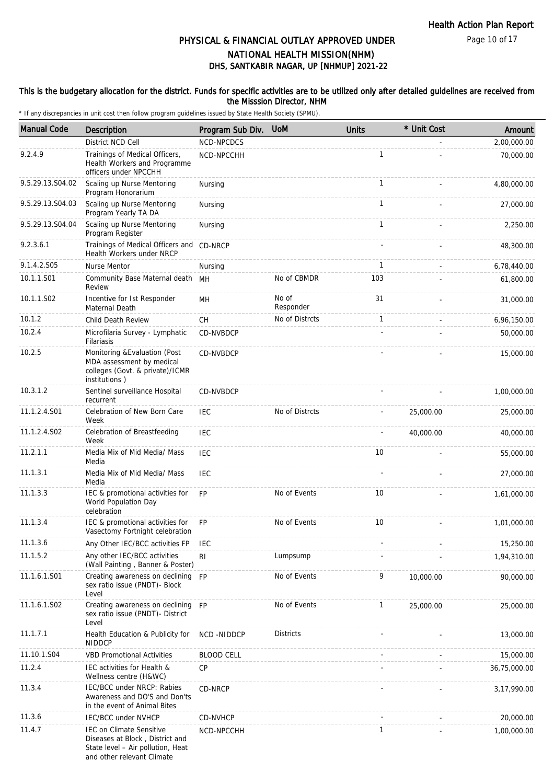Page 10 of 17

# DHS, SANTKABIR NAGAR, UP [NHMUP] 2021-22 PHYSICAL & FINANCIAL OUTLAY APPROVED UNDER NATIONAL HEALTH MISSION(NHM)

### This is the budgetary allocation for the district. Funds for specific activities are to be utilized only after detailed guidelines are received from the Misssion Director, NHM

| <b>Manual Code</b> | Description                                                                                                                           | Program Sub Div.  | <b>UoM</b>         | <b>Units</b> | * Unit Cost | Amount       |
|--------------------|---------------------------------------------------------------------------------------------------------------------------------------|-------------------|--------------------|--------------|-------------|--------------|
|                    | District NCD Cell                                                                                                                     | NCD-NPCDCS        |                    |              |             | 2,00,000.00  |
| 9.2.4.9            | Trainings of Medical Officers,<br>Health Workers and Programme<br>officers under NPCCHH                                               | NCD-NPCCHH        |                    | $\mathbf{1}$ |             | 70,000.00    |
| 9.5.29.13.S04.02   | Scaling up Nurse Mentoring<br>Program Honorarium                                                                                      | Nursing           |                    | $\mathbf{1}$ |             | 4.80.000.00  |
| 9.5.29.13.S04.03   | Scaling up Nurse Mentoring<br>Program Yearly TA DA                                                                                    | Nursing           |                    | $\mathbf{1}$ |             | 27,000.00    |
| 9.5.29.13.S04.04   | Scaling up Nurse Mentoring<br>Program Register                                                                                        | Nursing           |                    | $\mathbf{1}$ |             | 2,250.00     |
| 9.2.3.6.1          | Trainings of Medical Officers and CD-NRCP<br>Health Workers under NRCP                                                                |                   |                    |              |             | 48,300.00    |
| 9.1.4.2.S05        | Nurse Mentor                                                                                                                          | Nursing           |                    | 1            |             | 6,78,440.00  |
| 10.1.1.S01         | Community Base Maternal death MH<br>Review                                                                                            |                   | No of CBMDR        | 103          |             | 61,800.00    |
| 10.1.1.S02         | Incentive for 1st Responder<br>Maternal Death                                                                                         | MH                | No of<br>Responder | 31           |             | 31,000.00    |
| 10.1.2             | <b>Child Death Review</b>                                                                                                             | CH                | No of Distrcts     | $\mathbf{1}$ |             | 6,96,150.00  |
| 10.2.4             | Microfilaria Survey - Lymphatic<br>Filariasis                                                                                         | CD-NVBDCP         |                    |              |             | 50,000.00    |
| 10.2.5             | Monitoring & Evaluation (Post<br>MDA assessment by medical<br>colleges (Govt. & private)/ICMR<br>institutions)                        | CD-NVBDCP         |                    |              |             | 15,000.00    |
| 10.3.1.2           | Sentinel surveillance Hospital<br>recurrent                                                                                           | <b>CD-NVBDCP</b>  |                    |              |             | 1,00,000.00  |
| 11.1.2.4.S01       | Celebration of New Born Care<br>Week                                                                                                  | <b>IEC</b>        | No of Distrcts     |              | 25,000.00   | 25,000.00    |
| 11.1.2.4.S02       | Celebration of Breastfeeding<br>Week                                                                                                  | <b>IEC</b>        |                    |              | 40,000.00   | 40,000.00    |
| 11.2.1.1           | Media Mix of Mid Media/ Mass<br>Media                                                                                                 | <b>IEC</b>        |                    | 10           |             | 55,000.00    |
| 11.1.3.1           | Media Mix of Mid Media/ Mass<br>Media                                                                                                 | <b>IEC</b>        |                    |              |             | 27,000.00    |
| 11.1.3.3           | IEC & promotional activities for<br>World Population Day<br>celebration                                                               | <b>FP</b>         | No of Events       | 10           |             | 1,61,000.00  |
| 11.1.3.4           | IEC & promotional activities for<br>Vasectomy Fortnight celebration                                                                   | <b>FP</b>         | No of Events       | 10           |             | 1,01,000.00  |
| 11.1.3.6           | Any Other IEC/BCC activities FP                                                                                                       | IEC               |                    |              |             | 15,250.00    |
| 11.1.5.2           | Any other IEC/BCC activities<br>(Wall Painting, Banner & Poster)                                                                      | RI                | Lumpsump           |              |             | 1,94,310.00  |
| 11.1.6.1.S01       | Creating awareness on declining FP<br>sex ratio issue (PNDT)- Block<br>Level                                                          |                   | No of Events       | 9            | 10,000.00   | 90,000.00    |
| 11.1.6.1.S02       | Creating awareness on declining FP<br>sex ratio issue (PNDT)- District<br>Level                                                       |                   | No of Events       | $\mathbf{1}$ | 25,000.00   | 25,000.00    |
| 11.1.7.1           | Health Education & Publicity for<br><b>NIDDCP</b>                                                                                     | NCD -NIDDCP       | <b>Districts</b>   |              |             | 13,000.00    |
| 11.10.1.S04        | <b>VBD Promotional Activities</b>                                                                                                     | <b>BLOOD CELL</b> |                    |              |             | 15,000.00    |
| 11.2.4             | IEC activities for Health &<br>Wellness centre (H&WC)                                                                                 | <b>CP</b>         |                    |              |             | 36,75,000.00 |
| 11.3.4             | IEC/BCC under NRCP: Rabies<br>Awareness and DO'S and Don'ts<br>in the event of Animal Bites                                           | CD-NRCP           |                    |              |             | 3,17,990.00  |
| 11.3.6             | IEC/BCC under NVHCP                                                                                                                   | CD-NVHCP          |                    |              |             | 20,000.00    |
| 11.4.7             | <b>IEC on Climate Sensitive</b><br>Diseases at Block, District and<br>State level - Air pollution, Heat<br>and other relevant Climate | NCD-NPCCHH        |                    | 1            |             | 1,00,000.00  |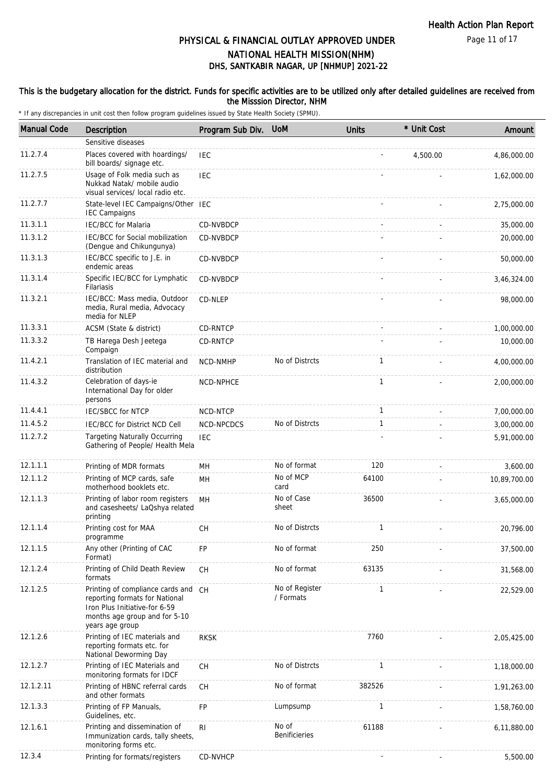### This is the budgetary allocation for the district. Funds for specific activities are to be utilized only after detailed guidelines are received from the Misssion Director, NHM

| <b>Manual Code</b> | <b>Description</b>                                                                                                                                         | Program Sub Div. | <b>UoM</b>                  | <b>Units</b> | * Unit Cost | Amount       |
|--------------------|------------------------------------------------------------------------------------------------------------------------------------------------------------|------------------|-----------------------------|--------------|-------------|--------------|
|                    | Sensitive diseases                                                                                                                                         |                  |                             |              |             |              |
| 11.2.7.4           | Places covered with hoardings/<br>bill boards/ signage etc.                                                                                                | <b>IEC</b>       |                             |              | 4,500.00    | 4,86,000.00  |
| 11.2.7.5           | Usage of Folk media such as<br>Nukkad Natak/ mobile audio<br>visual services/ local radio etc.                                                             | <b>IEC</b>       |                             |              |             | 1,62,000.00  |
| 11.2.7.7           | State-level IEC Campaigns/Other IEC<br><b>IEC Campaigns</b>                                                                                                |                  |                             |              |             | 2,75,000.00  |
| 11.3.1.1           | <b>IEC/BCC</b> for Malaria                                                                                                                                 | CD-NVBDCP        |                             |              |             | 35,000.00    |
| 11.3.1.2           | IEC/BCC for Social mobilization<br>(Dengue and Chikungunya)                                                                                                | CD-NVBDCP        |                             |              |             | 20,000.00    |
| 11.3.1.3           | IEC/BCC specific to J.E. in<br>endemic areas                                                                                                               | CD-NVBDCP        |                             |              |             | 50,000.00    |
| 11.3.1.4           | Specific IEC/BCC for Lymphatic<br>Filariasis                                                                                                               | CD-NVBDCP        |                             |              |             | 3,46,324.00  |
| 11.3.2.1           | IEC/BCC: Mass media, Outdoor<br>media, Rural media, Advocacy<br>media for NLEP                                                                             | CD-NLEP          |                             |              |             | 98,000.00    |
| 11.3.3.1           | ACSM (State & district)                                                                                                                                    | CD-RNTCP         |                             |              |             | 1,00,000.00  |
| 11.3.3.2           | TB Harega Desh Jeetega<br>Compaign                                                                                                                         | CD-RNTCP         |                             |              |             | 10,000.00    |
| 11.4.2.1           | Translation of IEC material and<br>distribution                                                                                                            | NCD-NMHP         | No of Distrcts              | $\mathbf{1}$ |             | 4,00,000.00  |
| 11.4.3.2           | Celebration of days-ie<br>International Day for older<br>persons                                                                                           | NCD-NPHCE        |                             | $\mathbf{1}$ |             | 2,00,000.00  |
| 11.4.4.1           | <b>IEC/SBCC for NTCP</b>                                                                                                                                   | NCD-NTCP         |                             | $\mathbf{1}$ |             | 7,00,000.00  |
| 11.4.5.2           | IEC/BCC for District NCD Cell                                                                                                                              | NCD-NPCDCS       | No of Distrcts              | $\mathbf{1}$ |             | 3,00,000.00  |
| 11.2.7.2           | <b>Targeting Naturally Occurring</b><br>Gathering of People/ Health Mela                                                                                   | <b>IEC</b>       |                             |              |             | 5,91,000.00  |
| 12.1.1.1           | Printing of MDR formats                                                                                                                                    | MН               | No of format                | 120          |             | 3,600.00     |
| 12.1.1.2           | Printing of MCP cards, safe<br>motherhood booklets etc.                                                                                                    | MH               | No of MCP<br>card           | 64100        |             | 10,89,700.00 |
| 12.1.1.3           | Printing of labor room registers<br>and casesheets/ LaQshya related<br>printing                                                                            | <b>MH</b>        | No of Case<br>sheet         | 36500        |             | 3,65,000.00  |
| 12.1.1.4           | Printing cost for MAA<br>programme                                                                                                                         | СH               | No of Distrcts              | $\mathbf{1}$ |             | 20,796.00    |
| 12.1.1.5           | Any other (Printing of CAC<br>Format)                                                                                                                      | <b>FP</b>        | No of format                | 250          |             | 37,500.00    |
| 12.1.2.4           | Printing of Child Death Review<br>formats                                                                                                                  | <b>CH</b>        | No of format                | 63135        |             | 31,568.00    |
| 12.1.2.5           | Printing of compliance cards and CH<br>reporting formats for National<br>Iron Plus Initiative-for 6-59<br>months age group and for 5-10<br>years age group |                  | No of Register<br>/ Formats | $\mathbf{1}$ |             | 22,529.00    |
| 12.1.2.6           | Printing of IEC materials and<br>reporting formats etc. for<br>National Deworming Day                                                                      | <b>RKSK</b>      |                             | 7760         |             | 2,05,425.00  |
| 12.1.2.7           | Printing of IEC Materials and<br>monitoring formats for IDCF                                                                                               | CH               | No of Distrcts              | $\mathbf{1}$ |             | 1,18,000.00  |
| 12.1.2.11          | Printing of HBNC referral cards<br>and other formats                                                                                                       | <b>CH</b>        | No of format                | 382526       |             | 1,91,263.00  |
| 12.1.3.3           | Printing of FP Manuals,<br>Guidelines, etc.                                                                                                                | FP               | Lumpsump                    | $\mathbf{1}$ |             | 1,58,760.00  |
| 12.1.6.1           | Printing and dissemination of<br>Immunization cards, tally sheets,<br>monitoring forms etc.                                                                | R <sub>1</sub>   | No of<br>Benificieries      | 61188        |             | 6,11,880.00  |
| 12.3.4             | Printing for formats/registers                                                                                                                             | CD-NVHCP         |                             |              |             | 5,500.00     |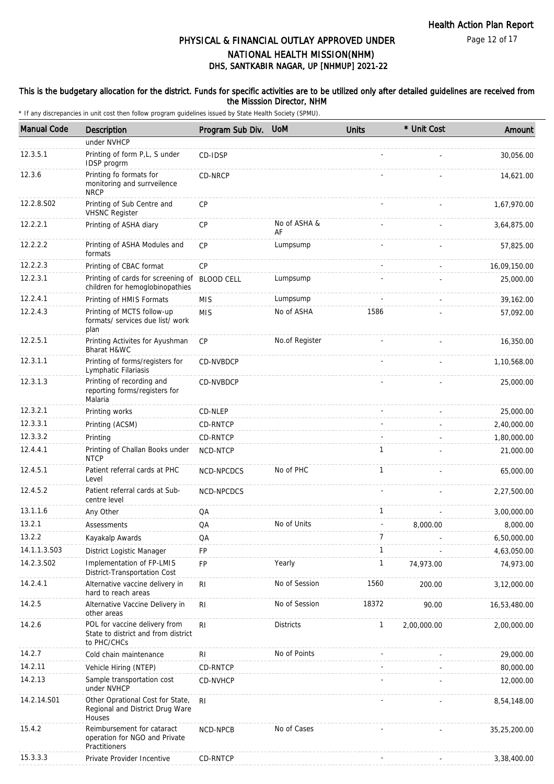Page 12 of 17

# DHS, SANTKABIR NAGAR, UP [NHMUP] 2021-22 PHYSICAL & FINANCIAL OUTLAY APPROVED UNDER NATIONAL HEALTH MISSION(NHM)

### This is the budgetary allocation for the district. Funds for specific activities are to be utilized only after detailed guidelines are received from the Misssion Director, NHM

| <b>Manual Code</b> | Description                                                                         | Program Sub Div. | <b>UoM</b>         | <b>Units</b> | * Unit Cost | Amount       |
|--------------------|-------------------------------------------------------------------------------------|------------------|--------------------|--------------|-------------|--------------|
|                    | under NVHCP                                                                         |                  |                    |              |             |              |
| 12.3.5.1           | Printing of form P,L, S under<br>IDSP progrm                                        | CD-IDSP          |                    |              |             | 30,056.00    |
| 12.3.6             | Printing fo formats for<br>monitoring and surrveilence<br><b>NRCP</b>               | CD-NRCP          |                    |              |             | 14,621.00    |
| 12.2.8.S02         | Printing of Sub Centre and<br><b>VHSNC Register</b>                                 | <b>CP</b>        |                    |              |             | 1,67,970.00  |
| 12.2.2.1           | Printing of ASHA diary                                                              | <b>CP</b>        | No of ASHA &<br>AF |              |             | 3,64,875.00  |
| 12.2.2.2           | Printing of ASHA Modules and<br>formats                                             | CP               | Lumpsump           |              |             | 57,825.00    |
| 12.2.2.3           | Printing of CBAC format                                                             | <b>CP</b>        |                    |              |             | 16,09,150.00 |
| 12.2.3.1           | Printing of cards for screening of BLOOD CELL<br>children for hemoglobinopathies    |                  | Lumpsump           |              |             | 25,000.00    |
| 12.2.4.1           | Printing of HMIS Formats                                                            | <b>MIS</b>       | Lumpsump           |              |             | 39,162.00    |
| 12.2.4.3           | Printing of MCTS follow-up<br>formats/ services due list/ work<br>plan              | <b>MIS</b>       | No of ASHA         | 1586         |             | 57,092.00    |
| 12.2.5.1           | Printing Activites for Ayushman<br>Bharat H&WC                                      | <b>CP</b>        | No.of Register     |              |             | 16,350.00    |
| 12.3.1.1           | Printing of forms/registers for<br>Lymphatic Filariasis                             | CD-NVBDCP        |                    |              |             | 1,10,568.00  |
| 12.3.1.3           | Printing of recording and<br>reporting forms/registers for<br>Malaria               | CD-NVBDCP        |                    |              |             | 25,000.00    |
| 12.3.2.1           | Printing works                                                                      | CD-NLEP          |                    |              |             | 25,000.00    |
| 12.3.3.1           | Printing (ACSM)                                                                     | CD-RNTCP         |                    |              |             | 2,40,000.00  |
| 12.3.3.2           | Printing                                                                            | <b>CD-RNTCP</b>  |                    |              |             | 1,80,000.00  |
| 12.4.4.1           | Printing of Challan Books under<br><b>NTCP</b>                                      | NCD-NTCP         |                    | $\mathbf{1}$ |             | 21,000.00    |
| 12.4.5.1           | Patient referral cards at PHC<br>Level                                              | NCD-NPCDCS       | No of PHC          | $\mathbf{1}$ |             | 65,000.00    |
| 12.4.5.2           | Patient referral cards at Sub-<br>centre level                                      | NCD-NPCDCS       |                    |              |             | 2,27,500.00  |
| 13.1.1.6           | Any Other                                                                           | QA               |                    | $\mathbf{1}$ |             | 3,00,000.00  |
| 13.2.1             | Assessments                                                                         | QA               | No of Units        |              | 8,000.00    | 8,000.00     |
| 13.2.2             | Kayakalp Awards                                                                     | QA               |                    | 7            |             | 6,50,000.00  |
| 14.1.1.3.S03       | District Logistic Manager                                                           | FP               |                    | $\mathbf{1}$ |             | 4,63,050.00  |
| 14.2.3.S02         | Implementation of FP-LMIS<br>District-Transportation Cost                           | FP               | Yearly             | $\mathbf{1}$ | 74,973.00   | 74,973.00    |
| 14.2.4.1           | Alternative vaccine delivery in<br>hard to reach areas                              | <b>RI</b>        | No of Session      | 1560         | 200.00      | 3,12,000.00  |
| 14.2.5             | Alternative Vaccine Delivery in<br>other areas                                      | R <sub>l</sub>   | No of Session      | 18372        | 90.00       | 16,53,480.00 |
| 14.2.6             | POL for vaccine delivery from<br>State to district and from district<br>to PHC/CHCs | R <sub>l</sub>   | <b>Districts</b>   | $\mathbf{1}$ | 2,00,000.00 | 2,00,000.00  |
| 14.2.7             | Cold chain maintenance                                                              | RI               | No of Points       |              |             | 29,000.00    |
| 14.2.11            | Vehicle Hiring (NTEP)                                                               | CD-RNTCP         |                    |              |             | 80,000.00    |
| 14.2.13            | Sample transportation cost<br>under NVHCP                                           | CD-NVHCP         |                    |              |             | 12,000.00    |
| 14.2.14.S01        | Other Oprational Cost for State,<br>Regional and District Drug Ware<br>Houses       | <b>RI</b>        |                    |              |             | 8,54,148.00  |
| 15.4.2             | Reimbursement for cataract<br>operation for NGO and Private<br>Practitioners        | NCD-NPCB         | No of Cases        |              |             | 35,25,200.00 |
| 15.3.3.3           | Private Provider Incentive                                                          | CD-RNTCP         |                    |              |             | 3,38,400.00  |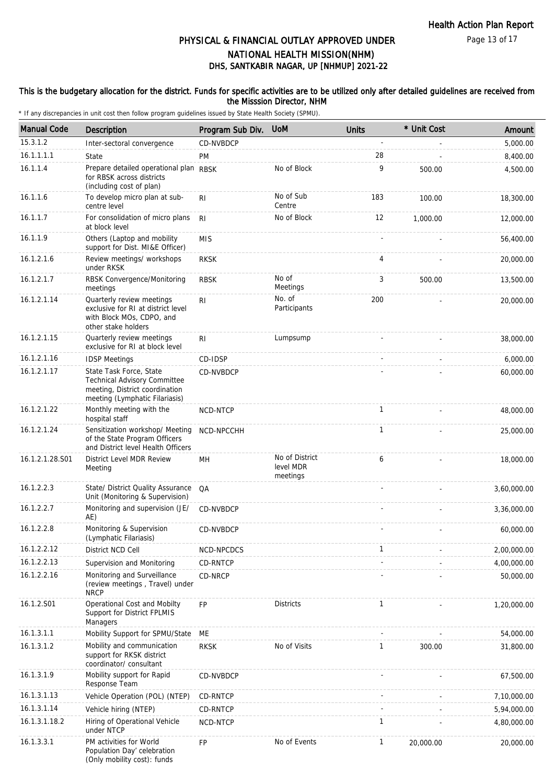Page 13 of 17

# DHS, SANTKABIR NAGAR, UP [NHMUP] 2021-22 PHYSICAL & FINANCIAL OUTLAY APPROVED UNDER NATIONAL HEALTH MISSION(NHM)

### This is the budgetary allocation for the district. Funds for specific activities are to be utilized only after detailed guidelines are received from the Misssion Director, NHM

| <b>Manual Code</b> | <b>Description</b>                                                                                                                 | Program Sub Div. | <b>UoM</b>                              | <b>Units</b> | * Unit Cost | Amount      |
|--------------------|------------------------------------------------------------------------------------------------------------------------------------|------------------|-----------------------------------------|--------------|-------------|-------------|
| 15.3.1.2           | Inter-sectoral convergence                                                                                                         | CD-NVBDCP        |                                         |              |             | 5,000.00    |
| 16.1.1.1.1         | State                                                                                                                              | PM               |                                         | 28           |             | 8,400.00    |
| 16.1.1.4           | Prepare detailed operational plan RBSK<br>for RBSK across districts<br>(including cost of plan)                                    |                  | No of Block                             | 9            | 500.00      | 4,500.00    |
| 16.1.1.6           | To develop micro plan at sub-<br>centre level                                                                                      | R <sub>l</sub>   | No of Sub<br>Centre                     | 183          | 100.00      | 18,300.00   |
| 16.1.1.7           | For consolidation of micro plans<br>at block level                                                                                 | R <sub>l</sub>   | No of Block                             | 12           | 1,000.00    | 12,000.00   |
| 16.1.1.9           | Others (Laptop and mobility<br>support for Dist. MI&E Officer)                                                                     | <b>MIS</b>       |                                         |              |             | 56,400.00   |
| 16.1.2.1.6         | Review meetings/ workshops<br>under RKSK                                                                                           | <b>RKSK</b>      |                                         | 4            |             | 20,000.00   |
| 16.1.2.1.7         | RBSK Convergence/Monitoring<br>meetings                                                                                            | <b>RBSK</b>      | No of<br>Meetings                       | 3            | 500.00      | 13,500.00   |
| 16.1.2.1.14        | Quarterly review meetings<br>exclusive for RI at district level<br>with Block MOs, CDPO, and<br>other stake holders                | R <sub>l</sub>   | No. of<br>Participants                  | 200          |             | 20,000.00   |
| 16.1.2.1.15        | Quarterly review meetings<br>exclusive for RI at block level                                                                       | R <sub>l</sub>   | Lumpsump                                |              |             | 38,000.00   |
| 16.1.2.1.16        | <b>IDSP Meetings</b>                                                                                                               | CD-IDSP          |                                         |              |             | 6,000.00    |
| 16.1.2.1.17        | State Task Force, State<br><b>Technical Advisory Committee</b><br>meeting, District coordination<br>meeting (Lymphatic Filariasis) | CD-NVBDCP        |                                         |              |             | 60,000.00   |
| 16.1.2.1.22        | Monthly meeting with the<br>hospital staff                                                                                         | NCD-NTCP         |                                         | $\mathbf{1}$ |             | 48,000.00   |
| 16.1.2.1.24        | Sensitization workshop/ Meeting<br>of the State Program Officers<br>and District level Health Officers                             | NCD-NPCCHH       |                                         | $\mathbf{1}$ |             | 25,000.00   |
| 16.1.2.1.28.S01    | District Level MDR Review<br>Meeting                                                                                               | MH               | No of District<br>level MDR<br>meetings | 6            |             | 18,000.00   |
| 16.1.2.2.3         | State/ District Quality Assurance<br>Unit (Monitoring & Supervision)                                                               | QA               |                                         |              |             | 3,60,000.00 |
| 16.1.2.2.7         | Monitoring and supervision (JE/<br>AE)                                                                                             | CD-NVBDCP        |                                         |              |             | 3,36,000.00 |
| 16.1.2.2.8         | Monitoring & Supervision<br>(Lymphatic Filariasis)                                                                                 | <b>CD-NVBDCP</b> |                                         |              |             | 60,000.00   |
| 16.1.2.2.12        | District NCD Cell                                                                                                                  | NCD-NPCDCS       |                                         | $\mathbf{1}$ |             | 2,00,000.00 |
| 16.1.2.2.13        | Supervision and Monitoring                                                                                                         | CD-RNTCP         |                                         |              |             | 4,00,000.00 |
| 16.1.2.2.16        | Monitoring and Surveillance<br>(review meetings, Travel) under<br><b>NRCP</b>                                                      | CD-NRCP          |                                         |              |             | 50,000.00   |
| 16.1.2.S01         | Operational Cost and Mobilty<br>Support for District FPLMIS<br>Managers                                                            | FP               | <b>Districts</b>                        | 1            |             | 1,20,000.00 |
| 16.1.3.1.1         | Mobility Support for SPMU/State                                                                                                    | ME               |                                         |              |             | 54,000.00   |
| 16.1.3.1.2         | Mobility and communication<br>support for RKSK district<br>coordinator/ consultant                                                 | <b>RKSK</b>      | No of Visits                            | 1            | 300.00      | 31,800.00   |
| 16.1.3.1.9         | Mobility support for Rapid<br>Response Team                                                                                        | CD-NVBDCP        |                                         |              |             | 67,500.00   |
| 16.1.3.1.13        | Vehicle Operation (POL) (NTEP)                                                                                                     | CD-RNTCP         |                                         |              |             | 7,10,000.00 |
| 16.1.3.1.14        | Vehicle hiring (NTEP)                                                                                                              | CD-RNTCP         |                                         |              |             | 5,94,000.00 |
| 16.1.3.1.18.2      | Hiring of Operational Vehicle<br>under NTCP                                                                                        | NCD-NTCP         |                                         | 1            |             | 4,80,000.00 |
| 16.1.3.3.1         | PM activities for World<br>Population Day' celebration<br>(Only mobility cost): funds                                              | <b>FP</b>        | No of Events                            | 1            | 20,000.00   | 20,000.00   |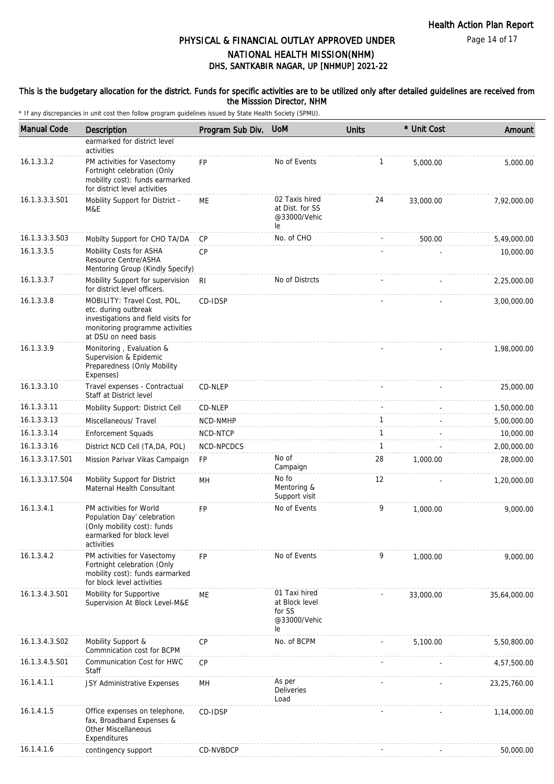Page 14 of 17

# DHS, SANTKABIR NAGAR, UP [NHMUP] 2021-22 PHYSICAL & FINANCIAL OUTLAY APPROVED UNDER NATIONAL HEALTH MISSION(NHM)

### This is the budgetary allocation for the district. Funds for specific activities are to be utilized only after detailed guidelines are received from the Misssion Director, NHM

| <b>Manual Code</b> | Description                                                                                                                                           | Program Sub Div. | <b>UoM</b>                                                      | <b>Units</b> | * Unit Cost | Amount       |
|--------------------|-------------------------------------------------------------------------------------------------------------------------------------------------------|------------------|-----------------------------------------------------------------|--------------|-------------|--------------|
|                    | earmarked for district level                                                                                                                          |                  |                                                                 |              |             |              |
| 16.1.3.3.2         | activities<br>PM activities for Vasectomy<br>Fortnight celebration (Only<br>mobility cost): funds earmarked<br>for district level activities          | <b>FP</b>        | No of Events                                                    | $\mathbf{1}$ | 5,000.00    | 5,000.00     |
| 16.1.3.3.3.S01     | Mobility Support for District -<br>M&E                                                                                                                | <b>ME</b>        | 02 Taxis hired<br>at Dist. for SS<br>@33000/Vehic<br>le         | 24           | 33,000.00   | 7,92,000.00  |
| 16.1.3.3.3.S03     | Mobilty Support for CHO TA/DA                                                                                                                         | CP               | No. of CHO                                                      |              | 500.00      | 5,49,000.00  |
| 16.1.3.3.5         | Mobility Costs for ASHA<br>Resource Centre/ASHA<br>Mentoring Group (Kindly Specify)                                                                   | CP               |                                                                 |              |             | 10,000.00    |
| 16.1.3.3.7         | Mobility Support for supervision<br>for district level officers.                                                                                      | R <sub>l</sub>   | No of Distrcts                                                  |              |             | 2,25,000.00  |
| 16.1.3.3.8         | MOBILITY: Travel Cost, POL,<br>etc. during outbreak<br>investigations and field visits for<br>monitoring programme activities<br>at DSU on need basis | CD-IDSP          |                                                                 |              |             | 3,00,000.00  |
| 16.1.3.3.9         | Monitoring, Evaluation &<br>Supervision & Epidemic<br>Preparedness (Only Mobility<br>Expenses)                                                        |                  |                                                                 |              |             | 1,98,000.00  |
| 16.1.3.3.10        | Travel expenses - Contractual<br>Staff at District level                                                                                              | CD-NLEP          |                                                                 |              |             | 25,000.00    |
| 16.1.3.3.11        | Mobility Support: District Cell                                                                                                                       | CD-NLEP          |                                                                 |              |             | 1,50,000.00  |
| 16.1.3.3.13        | Miscellaneous/ Travel                                                                                                                                 | NCD-NMHP         |                                                                 | 1            |             | 5,00,000.00  |
| 16.1.3.3.14        | <b>Enforcement Squads</b>                                                                                                                             | NCD-NTCP         |                                                                 | 1            |             | 10,000.00    |
| 16.1.3.3.16        | District NCD Cell (TA, DA, POL)                                                                                                                       | NCD-NPCDCS       |                                                                 | $\mathbf{1}$ |             | 2,00,000.00  |
| 16.1.3.3.17.S01    | Mission Parivar Vikas Campaign                                                                                                                        | <b>FP</b>        | No of<br>Campaign                                               | 28           | 1,000.00    | 28,000.00    |
| 16.1.3.3.17.S04    | Mobility Support for District<br>Maternal Health Consultant                                                                                           | <b>MH</b>        | No fo<br>Mentoring &<br>Support visit                           | 12           |             | 1,20,000.00  |
| 16.1.3.4.1         | PM activities for World<br>Population Day' celebration<br>(Only mobility cost): funds<br>earmarked for block level<br>activities                      | <b>FP</b>        | No of Events                                                    | 9            | 1,000.00    | 9,000.00     |
| 16.1.3.4.2         | PM activities for Vasectomy<br>Fortnight celebration (Only<br>mobility cost): funds earmarked<br>for block level activities                           | <b>FP</b>        | No of Events                                                    | 9            | 1,000.00    | 9,000.00     |
| 16.1.3.4.3.S01     | Mobility for Supportive<br>Supervision At Block Level-M&E                                                                                             | ME               | 01 Taxi hired<br>at Block level<br>for SS<br>@33000/Vehic<br>le |              | 33,000.00   | 35,64,000.00 |
| 16.1.3.4.3.S02     | Mobility Support &<br>Commnication cost for BCPM                                                                                                      | CP               | No. of BCPM                                                     |              | 5,100.00    | 5,50,800.00  |
| 16.1.3.4.5.S01     | Communication Cost for HWC<br>Staff                                                                                                                   | CP               |                                                                 |              |             | 4,57,500.00  |
| 16.1.4.1.1         | JSY Administrative Expenses                                                                                                                           | MH               | As per<br><b>Deliveries</b><br>Load                             |              |             | 23,25,760.00 |
| 16.1.4.1.5         | Office expenses on telephone,<br>fax, Broadband Expenses &<br><b>Other Miscellaneous</b><br>Expenditures                                              | CD-IDSP          |                                                                 |              |             | 1,14,000.00  |
| 16.1.4.1.6         | contingency support                                                                                                                                   | CD-NVBDCP        |                                                                 |              |             | 50,000.00    |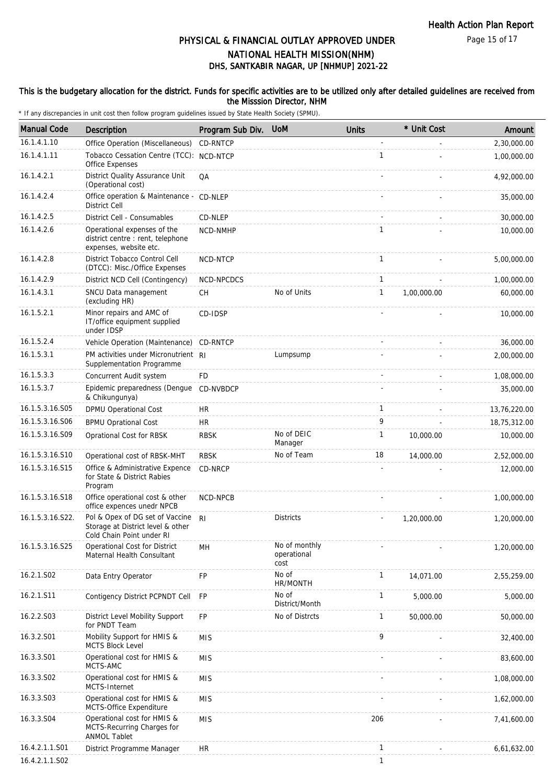Page 15 of 17

# DHS, SANTKABIR NAGAR, UP [NHMUP] 2021-22 PHYSICAL & FINANCIAL OUTLAY APPROVED UNDER NATIONAL HEALTH MISSION(NHM)

### This is the budgetary allocation for the district. Funds for specific activities are to be utilized only after detailed guidelines are received from the Misssion Director, NHM

| <b>Manual Code</b> | Description                                                                                       | Program Sub Div. | <b>UoM</b>                           | <b>Units</b> | * Unit Cost | Amount       |
|--------------------|---------------------------------------------------------------------------------------------------|------------------|--------------------------------------|--------------|-------------|--------------|
| 16.1.4.1.10        | Office Operation (Miscellaneous)                                                                  | CD-RNTCP         |                                      | ÷,           |             | 2,30,000.00  |
| 16.1.4.1.11        | Tobacco Cessation Centre (TCC): NCD-NTCP<br><b>Office Expenses</b>                                |                  |                                      | $\mathbf{1}$ |             | 1,00,000.00  |
| 16.1.4.2.1         | District Quality Assurance Unit<br>(Operational cost)                                             | QA               |                                      |              |             | 4,92,000.00  |
| 16.1.4.2.4         | Office operation & Maintenance - CD-NLEP<br>District Cell                                         |                  |                                      |              |             | 35,000.00    |
| 16.1.4.2.5         | District Cell - Consumables                                                                       | CD-NLEP          |                                      |              |             | 30,000.00    |
| 16.1.4.2.6         | Operational expenses of the<br>district centre : rent, telephone<br>expenses, website etc.        | NCD-NMHP         |                                      | 1            |             | 10,000.00    |
| 16.1.4.2.8         | District Tobacco Control Cell<br>(DTCC): Misc./Office Expenses                                    | NCD-NTCP         |                                      | $\mathbf{1}$ |             | 5,00,000.00  |
| 16.1.4.2.9         | District NCD Cell (Contingency)                                                                   | NCD-NPCDCS       |                                      | $\mathbf{1}$ |             | 1,00,000.00  |
| 16.1.4.3.1         | SNCU Data management<br>(excluding HR)                                                            | CH.              | No of Units                          | $\mathbf{1}$ | 1,00,000.00 | 60,000.00    |
| 16.1.5.2.1         | Minor repairs and AMC of<br>IT/office equipment supplied<br>under IDSP                            | CD-IDSP          |                                      |              |             | 10,000.00    |
| 16.1.5.2.4         | Vehicle Operation (Maintenance)                                                                   | <b>CD-RNTCP</b>  |                                      |              |             | 36,000.00    |
| 16.1.5.3.1         | PM activities under Micronutrient RI<br>Supplementation Programme                                 |                  | Lumpsump                             |              |             | 2,00,000.00  |
| 16.1.5.3.3         | Concurrent Audit system                                                                           | FD               |                                      |              |             | 1,08,000.00  |
| 16.1.5.3.7         | Epidemic preparedness (Dengue<br>& Chikungunya)                                                   | CD-NVBDCP        |                                      |              |             | 35,000.00    |
| 16.1.5.3.16.S05    | <b>DPMU Operational Cost</b>                                                                      | HR.              |                                      | $\mathbf{1}$ |             | 13,76,220.00 |
| 16.1.5.3.16.S06    | <b>BPMU Oprational Cost</b>                                                                       | <b>HR</b>        |                                      | 9            |             | 18,75,312.00 |
| 16.1.5.3.16.S09    | Oprational Cost for RBSK                                                                          | <b>RBSK</b>      | No of DEIC<br>Manager                | $\mathbf{1}$ | 10,000.00   | 10,000.00    |
| 16.1.5.3.16.S10    | Operational cost of RBSK-MHT                                                                      | <b>RBSK</b>      | No of Team                           | 18           | 14,000.00   | 2,52,000.00  |
| 16.1.5.3.16.S15    | Office & Administrative Expence<br>for State & District Rabies<br>Program                         | CD-NRCP          |                                      |              |             | 12,000.00    |
| 16.1.5.3.16.S18    | Office operational cost & other<br>office expences unedr NPCB                                     | NCD-NPCB         |                                      |              |             | 1,00,000.00  |
| 16.1.5.3.16.S22.   | Pol & Opex of DG set of Vaccine<br>Storage at District level & other<br>Cold Chain Point under RI | <b>RI</b>        | <b>Districts</b>                     |              | 1,20,000.00 | 1,20,000.00  |
| 16.1.5.3.16.S25    | Operational Cost for District<br>Maternal Health Consultant                                       | MH               | No of monthly<br>operational<br>cost |              |             | 1,20,000.00  |
| 16.2.1.S02         | Data Entry Operator                                                                               | FP               | No of<br>HR/MONTH                    | $\mathbf{1}$ | 14,071.00   | 2,55,259.00  |
| 16.2.1.S11         | Contigency District PCPNDT Cell                                                                   | <b>FP</b>        | No of<br>District/Month              | $\mathbf{1}$ | 5,000.00    | 5,000.00     |
| 16.2.2.S03         | District Level Mobility Support<br>for PNDT Team                                                  | FP               | No of Distrcts                       | $\mathbf{1}$ | 50,000.00   | 50,000.00    |
| 16.3.2.S01         | Mobility Support for HMIS &<br><b>MCTS Block Level</b>                                            | <b>MIS</b>       |                                      | 9            |             | 32,400.00    |
| 16.3.3.S01         | Operational cost for HMIS &<br>MCTS-AMC                                                           | <b>MIS</b>       |                                      |              |             | 83,600.00    |
| 16.3.3.S02         | Operational cost for HMIS &<br>MCTS-Internet                                                      | <b>MIS</b>       |                                      |              |             | 1,08,000.00  |
| 16.3.3.S03         | Operational cost for HMIS &<br>MCTS-Office Expenditure                                            | <b>MIS</b>       |                                      |              |             | 1,62,000.00  |
| 16.3.3.S04         | Operational cost for HMIS &<br>MCTS-Recurring Charges for<br><b>ANMOL Tablet</b>                  | <b>MIS</b>       |                                      | 206          |             | 7,41,600.00  |
| 16.4.2.1.1.S01     | District Programme Manager                                                                        | <b>HR</b>        |                                      | 1            |             | 6,61,632.00  |
| 16.4.2.1.1.S02     |                                                                                                   |                  |                                      | 1            |             |              |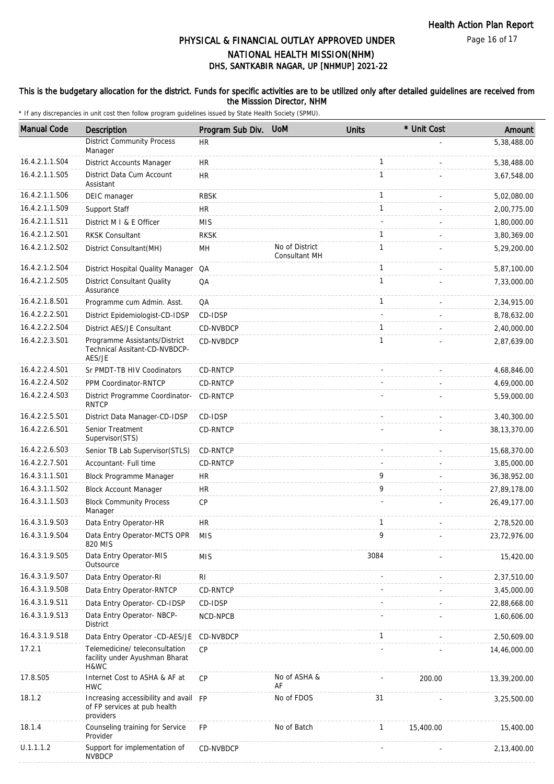Page 16 of 17

# DHS, SANTKABIR NAGAR, UP [NHMUP] 2021-22 PHYSICAL & FINANCIAL OUTLAY APPROVED UNDER NATIONAL HEALTH MISSION(NHM)

### This is the budgetary allocation for the district. Funds for specific activities are to be utilized only after detailed guidelines are received from the Misssion Director, NHM

| <b>Manual Code</b> | Description                                                                        | Program Sub Div. | <b>UoM</b>                             | <b>Units</b> | * Unit Cost | Amount         |
|--------------------|------------------------------------------------------------------------------------|------------------|----------------------------------------|--------------|-------------|----------------|
|                    | <b>District Community Process</b><br>Manager                                       | <b>HR</b>        |                                        |              |             | 5,38,488.00    |
| 16.4.2.1.1.S04     | District Accounts Manager                                                          | <b>HR</b>        |                                        | 1            |             | 5,38,488.00    |
| 16.4.2.1.1.S05     | District Data Cum Account<br>Assistant                                             | <b>HR</b>        |                                        | $\mathbf{1}$ |             | 3,67,548.00    |
| 16.4.2.1.1.S06     | DEIC manager                                                                       | <b>RBSK</b>      |                                        | 1            |             | 5,02,080.00    |
| 16.4.2.1.1.S09     | Support Staff                                                                      | HR.              |                                        | $\mathbf{1}$ |             | 2,00,775.00    |
| 16.4.2.1.1.S11     | District M I & E Officer                                                           | <b>MIS</b>       |                                        |              |             | 1,80,000.00    |
| 16.4.2.1.2.S01     | <b>RKSK Consultant</b>                                                             | <b>RKSK</b>      |                                        | 1            |             | 3,80,369.00    |
| 16.4.2.1.2.S02     | District Consultant (MH)                                                           | MH               | No of District<br><b>Consultant MH</b> | 1            |             | 5,29,200.00    |
| 16.4.2.1.2.S04     | District Hospital Quality Manager QA                                               |                  |                                        | $\mathbf{1}$ |             | 5,87,100.00    |
| 16.4.2.1.2.S05     | <b>District Consultant Quality</b><br>Assurance                                    | QA               |                                        | 1            |             | 7,33,000.00    |
| 16.4.2.1.8.S01     | Programme cum Admin. Asst.                                                         | QA               |                                        | $\mathbf{1}$ |             | 2,34,915.00    |
| 16.4.2.2.2.S01     | District Epidemiologist-CD-IDSP                                                    | CD-IDSP          |                                        |              |             | 8,78,632.00    |
| 16.4.2.2.2.S04     | District AES/JE Consultant                                                         | CD-NVBDCP        |                                        | $\mathbf{1}$ |             | 2,40,000.00    |
| 16.4.2.2.3.S01     | Programme Assistants/District<br>Technical Assitant-CD-NVBDCP-<br>AES/JE           | CD-NVBDCP        |                                        | 1            |             | 2,87,639.00    |
| 16.4.2.2.4.S01     | Sr PMDT-TB HIV Coodinators                                                         | CD-RNTCP         |                                        |              |             | 4,68,846.00    |
| 16.4.2.2.4.S02     | PPM Coordinator-RNTCP                                                              | CD-RNTCP         |                                        |              |             | 4,69,000.00    |
| 16.4.2.2.4.S03     | District Programme Coordinator-<br><b>RNTCP</b>                                    | CD-RNTCP         |                                        |              |             | 5,59,000.00    |
| 16.4.2.2.5.S01     | District Data Manager-CD-IDSP                                                      | CD-IDSP          |                                        |              |             | 3,40,300.00    |
| 16.4.2.2.6.S01     | Senior Treatment<br>Supervisor(STS)                                                | CD-RNTCP         |                                        |              |             | 38,13,370.00   |
| 16.4.2.2.6.S03     | Senior TB Lab Supervisor(STLS)                                                     | CD-RNTCP         |                                        |              |             | 15,68,370.00   |
| 16.4.2.2.7.S01     | Accountant- Full time                                                              | CD-RNTCP         |                                        |              |             | 3,85,000.00    |
| 16.4.3.1.1.S01     | Block Programme Manager                                                            | <b>HR</b>        |                                        | 9            |             | 36, 38, 952.00 |
| 16.4.3.1.1.S02     | <b>Block Account Manager</b>                                                       | HR.              |                                        | 9            |             | 27,89,178.00   |
| 16.4.3.1.1.S03     | <b>Block Community Process</b><br>Manager                                          | <b>CP</b>        |                                        |              |             | 26,49,177.00   |
| 16.4.3.1.9.S03     | Data Entry Operator-HR                                                             | HR.              |                                        | 1            |             | 2,78,520.00    |
| 16.4.3.1.9.S04     | Data Entry Operator-MCTS OPR<br>820 MIS                                            | <b>MIS</b>       |                                        | 9            |             | 23,72,976.00   |
| 16.4.3.1.9.S05     | Data Entry Operator-MIS<br>Outsource                                               | <b>MIS</b>       |                                        | 3084         |             | 15,420.00      |
| 16.4.3.1.9.S07     | Data Entry Operator-RI                                                             | R <sub>l</sub>   |                                        |              |             | 2,37,510.00    |
| 16.4.3.1.9.S08     | Data Entry Operator-RNTCP                                                          | CD-RNTCP         |                                        |              |             | 3,45,000.00    |
| 16.4.3.1.9.S11     | Data Entry Operator- CD-IDSP                                                       | CD-IDSP          |                                        |              |             | 22,88,668.00   |
| 16.4.3.1.9.S13     | Data Entry Operator- NBCP-<br><b>District</b>                                      | NCD-NPCB         |                                        |              |             | 1,60,606.00    |
| 16.4.3.1.9.S18     | Data Entry Operator -CD-AES/JE                                                     | CD-NVBDCP        |                                        | 1            |             | 2,50,609.00    |
| 17.2.1             | Telemedicine/ teleconsultation<br>facility under Ayushman Bharat<br>H&WC           | <b>CP</b>        |                                        |              |             | 14,46,000.00   |
| 17.8.S05           | Internet Cost to ASHA & AF at<br><b>HWC</b>                                        | <b>CP</b>        | No of ASHA &<br>AF                     |              | 200.00      | 13,39,200.00   |
| 18.1.2             | Increasing accessibility and avail FP<br>of FP services at pub health<br>providers |                  | No of FDOS                             | 31           |             | 3,25,500.00    |
| 18.1.4             | Counseling training for Service<br>Provider                                        | <b>FP</b>        | No of Batch                            | $\mathbf{1}$ | 15,400.00   | 15,400.00      |
| U.1.1.1.2          | Support for implementation of<br><b>NVBDCP</b>                                     | CD-NVBDCP        |                                        |              |             | 2,13,400.00    |